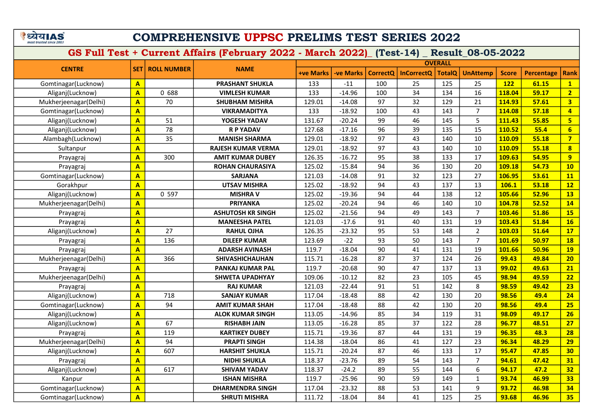# COMPREHENSIVE UPPSC PRELIMS TEST SERIES 2022

|                       |                         |                    |                           |                  |                  |                 |                   | <b>OVERALL</b> |                 |              |                   |                         |
|-----------------------|-------------------------|--------------------|---------------------------|------------------|------------------|-----------------|-------------------|----------------|-----------------|--------------|-------------------|-------------------------|
| <b>CENTRE</b>         | <b>SET1</b>             | <b>ROLL NUMBER</b> | <b>NAME</b>               | <b>+ve Marks</b> | <b>-ve Marks</b> | <b>CorrectQ</b> | <b>InCorrectQ</b> | <b>TotalQ</b>  | <b>UnAttemp</b> | <b>Score</b> | <b>Percentage</b> | <b>Rank</b>             |
| Gomtinagar(Lucknow)   | A                       |                    | <b>PRASHANT SHUKLA</b>    | 133              | $-11$            | 100             | 25                | 125            | 25              | 122          | 61.15             | $\mathbf{1}$            |
| Aliganj(Lucknow)      | A                       | 0 688              | <b>VIMLESH KUMAR</b>      | 133              | $-14.96$         | 100             | 34                | 134            | 16              | 118.04       | 59.17             | $\overline{2}$          |
| Mukherjeenagar(Delhi) | $\overline{A}$          | 70                 | <b>SHUBHAM MISHRA</b>     | 129.01           | $-14.08$         | 97              | 32                | 129            | 21              | 114.93       | 57.61             | $\overline{\mathbf{3}}$ |
| Gomtinagar(Lucknow)   | A                       |                    | <b>VIKRAMADITYA</b>       | 133              | $-18.92$         | 100             | 43                | 143            | $\overline{7}$  | 114.08       | 57.18             | $\overline{4}$          |
| Aliganj(Lucknow)      | A                       | 51                 | YOGESH YADAV              | 131.67           | $-20.24$         | 99              | 46                | 145            | 5               | 111.43       | 55.85             | $5\overline{)}$         |
| Aliganj(Lucknow)      | A                       | 78                 | <b>R P YADAV</b>          | 127.68           | $-17.16$         | 96              | 39                | 135            | 15              | 110.52       | 55.4              | $6\phantom{a}$          |
| Alambagh(Lucknow)     | A                       | 35                 | <b>MANISH SHARMA</b>      | 129.01           | $-18.92$         | 97              | 43                | 140            | 10              | 110.09       | 55.18             | $\overline{7}$          |
| Sultanpur             | A                       |                    | <b>RAJESH KUMAR VERMA</b> | 129.01           | $-18.92$         | 97              | 43                | 140            | 10              | 110.09       | 55.18             | $\overline{\mathbf{8}}$ |
| Prayagraj             | A                       | 300                | <b>AMIT KUMAR DUBEY</b>   | 126.35           | $-16.72$         | 95              | 38                | 133            | 17              | 109.63       | 54.95             | 9                       |
| Prayagraj             | A                       |                    | <b>ROHAN CHAURASIYA</b>   | 125.02           | $-15.84$         | 94              | 36                | 130            | 20              | 109.18       | 54.73             | 10                      |
| Gomtinagar(Lucknow)   | $\overline{\mathbf{A}}$ |                    | <b>SARJANA</b>            | 121.03           | $-14.08$         | 91              | 32                | 123            | 27              | 106.95       | 53.61             | 11                      |
| Gorakhpur             | A                       |                    | <b>UTSAV MISHRA</b>       | 125.02           | $-18.92$         | 94              | 43                | 137            | 13              | 106.1        | 53.18             | 12                      |
| Aliganj(Lucknow)      | A                       | 0 597              | <b>MISHRA V</b>           | 125.02           | $-19.36$         | 94              | 44                | 138            | 12              | 105.66       | 52.96             | <b>13</b>               |
| Mukherjeenagar(Delhi) | A                       |                    | <b>PRIYANKA</b>           | 125.02           | $-20.24$         | 94              | 46                | 140            | 10              | 104.78       | 52.52             | 14                      |
| Prayagraj             | A                       |                    | <b>ASHUTOSH KR SINGH</b>  | 125.02           | $-21.56$         | 94              | 49                | 143            | $\overline{7}$  | 103.46       | 51.86             | <b>15</b>               |
| Prayagraj             | $\overline{A}$          |                    | <b>MANEESHA PATEL</b>     | 121.03           | $-17.6$          | 91              | 40                | 131            | 19              | 103.43       | 51.84             | 16                      |
| Aliganj(Lucknow)      | A                       | 27                 | <b>RAHUL OJHA</b>         | 126.35           | $-23.32$         | 95              | 53                | 148            | $\overline{2}$  | 103.03       | 51.64             | 17                      |
| Prayagraj             | A                       | 136                | <b>DILEEP KUMAR</b>       | 123.69           | $-22$            | 93              | 50                | 143            | $\overline{7}$  | 101.69       | 50.97             | <b>18</b>               |
| Prayagraj             | A                       |                    | <b>ADARSH AVINASH</b>     | 119.7            | $-18.04$         | 90              | 41                | 131            | 19              | 101.66       | 50.96             | <b>19</b>               |
| Mukherjeenagar(Delhi) | A                       | 366                | <b>SHIVASHICHAUHAN</b>    | 115.71           | $-16.28$         | 87              | 37                | 124            | 26              | 99.43        | 49.84             | 20                      |
| Prayagraj             | $\overline{\mathsf{A}}$ |                    | <b>PANKAJ KUMAR PAL</b>   | 119.7            | $-20.68$         | 90              | 47                | 137            | 13              | 99.02        | 49.63             | 21                      |
| Mukherjeenagar(Delhi) | A                       |                    | <b>SHWETA UPADHYAY</b>    | 109.06           | $-10.12$         | 82              | 23                | 105            | 45              | 98.94        | 49.59             | 22                      |
| Prayagraj             | A                       |                    | <b>RAJ KUMAR</b>          | 121.03           | $-22.44$         | 91              | 51                | 142            | 8               | 98.59        | 49.42             | 23                      |
| Aliganj(Lucknow)      | A                       | 718                | <b>SANJAY KUMAR</b>       | 117.04           | $-18.48$         | 88              | 42                | 130            | 20              | 98.56        | 49.4              | 24                      |
| Gomtinagar(Lucknow)   | A                       | 94                 | <b>AMIT KUMAR SHAH</b>    | 117.04           | $-18.48$         | 88              | 42                | 130            | 20              | 98.56        | 49.4              | 25                      |
| Aliganj(Lucknow)      | A                       |                    | <b>ALOK KUMAR SINGH</b>   | 113.05           | $-14.96$         | 85              | 34                | 119            | 31              | 98.09        | 49.17             | 26                      |
| Aliganj(Lucknow)      | A                       | 67                 | <b>RISHABH JAIN</b>       | 113.05           | $-16.28$         | 85              | 37                | 122            | 28              | 96.77        | 48.51             | 27                      |
| Prayagraj             | A                       | 119                | <b>KARTIKEY DUBEY</b>     | 115.71           | $-19.36$         | 87              | 44                | 131            | 19              | 96.35        | 48.3              | 28                      |
| Mukherjeenagar(Delhi) | $\overline{\mathsf{A}}$ | 94                 | <b>PRAPTI SINGH</b>       | 114.38           | $-18.04$         | 86              | 41                | 127            | 23              | 96.34        | 48.29             | 29                      |
| Aliganj(Lucknow)      | $\overline{\mathsf{A}}$ | 607                | <b>HARSHIT SHUKLA</b>     | 115.71           | $-20.24$         | 87              | 46                | 133            | 17              | 95.47        | 47.85             | 30                      |
| Prayagraj             | A                       |                    | <b>NIDHI SHUKLA</b>       | 118.37           | $-23.76$         | 89              | 54                | 143            | $\overline{7}$  | 94.61        | 47.42             | 31                      |
| Aliganj(Lucknow)      | $\overline{\mathsf{A}}$ | 617                | <b>SHIVAM YADAV</b>       | 118.37           | $-24.2$          | 89              | 55                | 144            | 6               | 94.17        | 47.2              | 32                      |
| Kanpur                | A                       |                    | <b>ISHAN MISHRA</b>       | 119.7            | $-25.96$         | 90              | 59                | 149            | $\mathbf{1}$    | 93.74        | 46.99             | 33                      |
| Gomtinagar(Lucknow)   | $\overline{\mathsf{A}}$ |                    | <b>DHARMENDRA SINGH</b>   | 117.04           | $-23.32$         | 88              | 53                | 141            | 9               | 93.72        | 46.98             | 34                      |
| Gomtinagar(Lucknow)   | A                       |                    | <b>SHRUTI MISHRA</b>      | 111.72           | $-18.04$         | 84              | 41                | 125            | 25              | 93.68        | 46.96             | 35                      |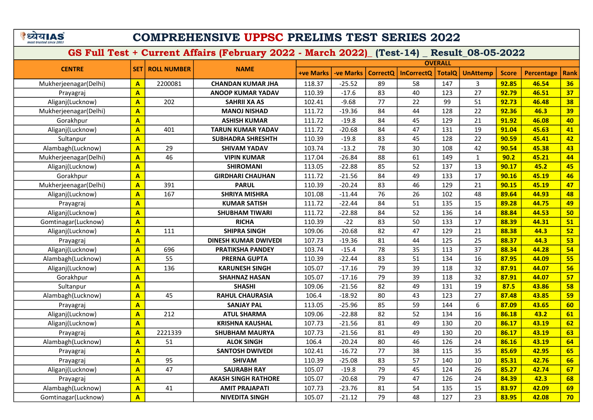# COMPREHENSIVE UPPSC PRELIMS TEST SERIES 2022

|                       |                         |                    |                             |                  |                  |                 |                   | <b>OVERALL</b> |                 |              |                   |             |
|-----------------------|-------------------------|--------------------|-----------------------------|------------------|------------------|-----------------|-------------------|----------------|-----------------|--------------|-------------------|-------------|
| <b>CENTRE</b>         | <b>SET</b>              | <b>ROLL NUMBER</b> | <b>NAME</b>                 | <b>+ve Marks</b> | <b>-ve Marks</b> | <b>CorrectQ</b> | <b>InCorrectO</b> | <b>TotalQ</b>  | <b>UnAttemp</b> | <b>Score</b> | <b>Percentage</b> | <b>Rank</b> |
| Mukherjeenagar(Delhi) | $\mathbf{A}$            | 2200081            | <b>CHANDAN KUMAR JHA</b>    | 118.37           | $-25.52$         | 89              | 58                | 147            | 3               | 92.85        | 46.54             | 36          |
| Prayagraj             | $\overline{A}$          |                    | <b>ANOOP KUMAR YADAV</b>    | 110.39           | $-17.6$          | 83              | 40                | 123            | 27              | 92.79        | 46.51             | 37          |
| Aliganj(Lucknow)      | $\overline{\mathbf{A}}$ | 202                | <b>SAHRII XA AS</b>         | 102.41           | $-9.68$          | 77              | 22                | 99             | 51              | 92.73        | 46.48             | 38          |
| Mukherjeenagar(Delhi) | $\overline{\mathbf{A}}$ |                    | <b>MANOJ NISHAD</b>         | 111.72           | $-19.36$         | 84              | 44                | 128            | 22              | 92.36        | 46.3              | 39          |
| Gorakhpur             | $\mathbf{A}$            |                    | <b>ASHISH KUMAR</b>         | 111.72           | $-19.8$          | 84              | 45                | 129            | 21              | 91.92        | 46.08             | 40          |
| Aliganj(Lucknow)      | $\overline{\mathsf{A}}$ | 401                | TARUN KUMAR YADAV           | 111.72           | $-20.68$         | 84              | 47                | 131            | 19              | 91.04        | 45.63             | 41          |
| Sultanpur             | $\overline{\mathbf{A}}$ |                    | <b>SUBHADRA SHRESHTH</b>    | 110.39           | $-19.8$          | 83              | 45                | 128            | 22              | 90.59        | 45.41             | 42          |
| Alambagh(Lucknow)     | $\overline{\mathsf{A}}$ | 29                 | <b>SHIVAM YADAV</b>         | 103.74           | $-13.2$          | 78              | 30                | 108            | 42              | 90.54        | 45.38             | 43          |
| Mukherjeenagar(Delhi) | $\overline{\mathbf{A}}$ | 46                 | <b>VIPIN KUMAR</b>          | 117.04           | $-26.84$         | 88              | 61                | 149            | $\mathbf{1}$    | 90.2         | 45.21             | 44          |
| Aliganj(Lucknow)      | $\overline{\mathbf{A}}$ |                    | <b>SHIROMANI</b>            | 113.05           | $-22.88$         | 85              | 52                | 137            | 13              | 90.17        | 45.2              | 45          |
| Gorakhpur             | $\overline{A}$          |                    | <b>GIRDHARI CHAUHAN</b>     | 111.72           | $-21.56$         | 84              | 49                | 133            | 17              | 90.16        | 45.19             | 46          |
| Mukherjeenagar(Delhi) | $\mathbf{A}$            | 391                | <b>PARUL</b>                | 110.39           | $-20.24$         | 83              | 46                | 129            | 21              | 90.15        | 45.19             | 47          |
| Aliganj(Lucknow)      | $\overline{\mathsf{A}}$ | 167                | <b>SHRIYA MISHRA</b>        | 101.08           | $-11.44$         | 76              | 26                | 102            | 48              | 89.64        | 44.93             | 48          |
| Prayagraj             | A                       |                    | <b>KUMAR SATISH</b>         | 111.72           | $-22.44$         | 84              | 51                | 135            | 15              | 89.28        | 44.75             | 49          |
| Aliganj(Lucknow)      | $\overline{\mathsf{A}}$ |                    | <b>SHUBHAM TIWARI</b>       | 111.72           | $-22.88$         | 84              | 52                | 136            | 14              | 88.84        | 44.53             | 50          |
| Gomtinagar(Lucknow)   | $\mathbf{A}$            |                    | <b>RICHA</b>                | 110.39           | $-22$            | 83              | 50                | 133            | 17              | 88.39        | 44.31             | 51          |
| Aliganj(Lucknow)      | $\mathbf{A}$            | 111                | <b>SHIPRA SINGH</b>         | 109.06           | $-20.68$         | 82              | 47                | 129            | 21              | 88.38        | 44.3              | 52          |
| Prayagraj             | A                       |                    | <b>DINESH KUMAR DWIVEDI</b> | 107.73           | $-19.36$         | 81              | 44                | 125            | 25              | 88.37        | 44.3              | 53          |
| Aliganj(Lucknow)      | A                       | 696                | <b>PRATIKSHA PANDEY</b>     | 103.74           | $-15.4$          | 78              | 35                | 113            | 37              | 88.34        | 44.28             | 54          |
| Alambagh(Lucknow)     | A                       | 55                 | <b>PRERNA GUPTA</b>         | 110.39           | $-22.44$         | 83              | 51                | 134            | 16              | 87.95        | 44.09             | 55          |
| Aliganj(Lucknow)      | A                       | 136                | <b>KARUNESH SINGH</b>       | 105.07           | $-17.16$         | 79              | 39                | 118            | 32              | 87.91        | 44.07             | 56          |
| Gorakhpur             | $\mathbf{A}$            |                    | <b>SHAHNAZ HASAN</b>        | 105.07           | $-17.16$         | 79              | 39                | 118            | 32              | 87.91        | 44.07             | 57          |
| Sultanpur             | $\mathbf{A}$            |                    | <b>SHASHI</b>               | 109.06           | $-21.56$         | 82              | 49                | 131            | 19              | 87.5         | 43.86             | 58          |
| Alambagh(Lucknow)     | $\overline{\mathsf{A}}$ | 45                 | <b>RAHUL CHAURASIA</b>      | 106.4            | $-18.92$         | 80              | 43                | 123            | 27              | 87.48        | 43.85             | 59          |
| Prayagraj             | $\mathbf{A}$            |                    | <b>SANJAY PAL</b>           | 113.05           | $-25.96$         | 85              | 59                | 144            | 6               | 87.09        | 43.65             | 60          |
| Aliganj(Lucknow)      | $\mathbf{A}$            | 212                | <b>ATUL SHARMA</b>          | 109.06           | $-22.88$         | 82              | 52                | 134            | 16              | 86.18        | 43.2              | 61          |
| Aliganj(Lucknow)      | A                       |                    | <b>KRISHNA KAUSHAL</b>      | 107.73           | $-21.56$         | 81              | 49                | 130            | 20              | 86.17        | 43.19             | 62          |
| Prayagraj             | $\mathbf{A}$            | 2221339            | <b>SHUBHAM MAURYA</b>       | 107.73           | $-21.56$         | 81              | 49                | 130            | 20              | 86.17        | 43.19             | 63          |
| Alambagh(Lucknow)     | $\overline{\mathbf{A}}$ | 51                 | <b>ALOK SINGH</b>           | 106.4            | $-20.24$         | 80              | 46                | 126            | 24              | 86.16        | 43.19             | 64          |
| Prayagraj             | $\overline{\mathbf{A}}$ |                    | <b>SANTOSH DWIVEDI</b>      | 102.41           | $-16.72$         | 77              | 38                | 115            | 35              | 85.69        | 42.95             | 65          |
| Prayagraj             | $\overline{\mathsf{A}}$ | 95                 | <b>SHIVAM</b>               | 110.39           | $-25.08$         | 83              | 57                | 140            | 10              | 85.31        | 42.76             | 66          |
| Aliganj(Lucknow)      | $\mathbf{A}$            | 47                 | <b>SAURABH RAY</b>          | 105.07           | $-19.8$          | 79              | 45                | 124            | 26              | 85.27        | 42.74             | 67          |
| Prayagraj             | $\overline{\mathsf{A}}$ |                    | <b>AKASH SINGH RATHORE</b>  | 105.07           | $-20.68$         | 79              | 47                | 126            | 24              | 84.39        | 42.3              | 68          |
| Alambagh(Lucknow)     | $\overline{\mathbf{A}}$ | 41                 | <b>AMIT PRAJAPATI</b>       | 107.73           | $-23.76$         | 81              | 54                | 135            | 15              | 83.97        | 42.09             | 69          |
| Gomtinagar(Lucknow)   | $\overline{\mathbf{A}}$ |                    | <b>NIVEDITA SINGH</b>       | 105.07           | $-21.12$         | 79              | 48                | 127            | 23              | 83.95        | 42.08             | 70          |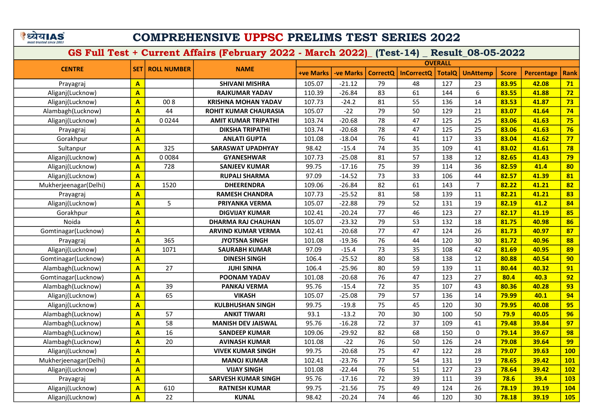ंध्येयIAS

# COMPREHENSIVE UPPSC PRELIMS TEST SERIES 2022

GS Full Test + Current Affairs (February 2022 - March 2022)\_ (Test-14) \_ Result\_08-05-2022

+ve Marks -ve Marks CorrectQ | InCorrectQ | TotalQ | UnAttemp | Score | Percentage | Rank **OVERALL** CENTRE SET ROLL NUMBER Prayagraj <mark>| A |</mark> | SHIVANI MISHRA | 105.07 | -21.12 | 79 | 48 | 127 | 23 <mark>| 83.95 | 42.08 | 71</mark> Aliganj(Lucknow) <mark>|A |</mark> RAJKUMAR YADAV | 110.39 | -26.84 | 83 | 61 | 144 | 6 <mark>83.55 | 41.88 | 72</mark> Aliganj(Lucknow) <mark>|A |</mark> 00 8 | K**RISHNA MOHAN YADAV** | 107.73 | -24.2 | 81 | 55 | 136 | 14 <mark>83.53 | 41.87 | 73</mark> Alambagh(Lucknow) <mark>| A |</mark> 44 | R**OHIT KUMAR CHAURASIA |** 105.07 | -22 | 79 | 50 | 129 | 21 <mark>| 83.07 | 41.64 | 74</mark> Aliganj(Lucknow) <mark>|A </mark> 0 0244 **| AMIT KUMAR TRIPATHI** | 103.74 | -20.68 | 78 | 47 | 125 | 25 <mark> 83.06 | 41.63 | 75</mark> Prayagraj A DIKSHA TRIPATHI 103.74 -20.68 78 47 125 25 83.06 41.63 76 Gorakhpur <mark>| A |</mark> | ANLATI GUPTA | 101.08 | -18.04 | 76 | 41 | 117 | 33 <mark>| 83.04 | 41.62 | 77</mark> Sultanpur A 325 SARASWAT UPADHYAY 98.42 -15.4 74 35 109 41 83.02 41.61 78 Aliganj(Lucknow) <mark>|A </mark> 0 0084 **| GYANESHWAR** 107.73 -25.08 81 57 138 12 <mark> 82.65 41.43 79</mark> Aliganj(Lucknow) <mark>|A </mark> 728 **| SANJEEV KUMAR** | 99.75 | -17.16 | 75 | 39 | 114 | 36 <mark> 82.59 | 41.4 | 80</mark> Aliganj(Lucknow) <mark>|A |</mark> R**UPALI SHARMA** | 97.09 | -14.52 | 73 | 33 | 106 | 44 <mark>82.57 | 41.39 |81</mark> Mukherjeenagar(Delhi) <mark>| A |</mark> 1520 | NDHEERENDRA | 109.06 | -26.84 | 82 | 61 | 143 | 7 <mark>| 82.22 | 41.21 | 82</mark> Prayagraj A RAMESH CHANDRA 107.73 -25.52 81 58 139 11 82.21 41.21 83 Aliganj(Lucknow) <mark>|A |</mark> 5 | **PRIYANKA VERMA** | 105.07 | -22.88 | 79 | 52 | 131 | 19 <mark>82.19 | 41.2 | 84</mark> Gorakhpur A DIGVIJAY KUMAR 102.41 -20.24 77 46 123 27 82.17 41.19 85 Noida <mark> A \_</mark> DHARMA RAJ CHAUHAN 105.07 -23.32 79 53 132 182 <mark> 81.75 40.98 86</mark> Gomtinagar(Lucknow) <mark>| A |</mark> | ARVIND KUMAR VERMA | 102.41 | -20.68 | 77 | 47 | 124 | 26 <mark>| 81.73 | 40.97 | 87</mark> Prayagraj A 365 JYOTSNA SINGH 101.08 -19.36 76 44 120 30 81.72 40.96 88 Aliganj(Lucknow) <mark>|A </mark> 1071 **SAURABH KUMAR** 97.09 -15.4 73 35 108 42 <mark>81.69 40.95 89</mark> Gomtinagar(Lucknow) A DINESH SINGH 106.4 -25.52 80 58 138 12 80.88 40.54 90 Alambagh(Lucknow) <mark>| A |</mark> 27 | JUHI SINHA | 106.4 | -25.96 | 80 | 59 | 139 | 11 <mark>| 80.44 | 40.32 | 91</mark> Gomtinagar(Lucknow) A POONAM YADAV 101.08 -20.68 76 47 123 27 80.4 40.3 92 Alambagh(Lucknow) <mark>| A |</mark> 39 | PANKAJ VERMA | 95.76 | -15.4 | 72 | 35 | 107 | 43 <mark>| 80.36 | 40.28 | 93</mark> | PANKAJ VERMA Aliganj(Lucknow) <mark> A </mark> 65 **VIKASH** 105.07 -25.08 79 57 136 14 <mark> 79.99 40.1 94</mark> Aliganj(Lucknow) <mark>|A |</mark> K**ULBHUSHAN SINGH** 99.75 -19.8 75 45 120 30 <mark>79.95 40.08 95</mark> Alambagh(Lucknow) <mark>| A |</mark> 57 | ANKIT TIWARI | 93.1 | -13.2 | 70 | 30 | 100 | 50 <mark>| 79.9 | 40.05 | 96</mark> Alambagh(Lucknow) <mark>| A |</mark> 58 | MA**NISH DEV JAISWAL |** 95.76 | -16.28 | 72 | 37 | 109 | 41 <mark>| 79.48 | 39.84 | 97</mark> Alambagh(Lucknow) <mark>| A |</mark> 16 | SANDEEP KUMAR | 109.06 | -29.92 | 82 | 68 | 150 | 0 <mark>| 79.14 | 39.67 | 98</mark> Alambagh(Lucknow) <mark>| A |</mark> 20 | AVINASH KUMAR | 101.08 | -22 | 76 | 50 | 126 | 24 <mark>| 79.08 | 39.64 | 99</mark> Aliganj(Lucknow) <mark> A </mark> VIVEK KUMAR SINGH 99.75 -20.68 75 47 122 28 <mark>79.07 39.63 100</mark> Mukherjeenagar(Delhi) A MANOJ KUMAR 102.41 -23.76 77 54 131 19 78.65 39.42 101 Aliganj(Lucknow) <mark> A </mark> VIJAY SINGH | 101.08 | -22.44 | 76 | 51 | 127 | 23 <mark>78.64 | 39.42 | 102</mark> Prayagraj <mark>A A SARVESH KUMAR SINGH 95.76 -17.16 72 39 111 39 78.6 39.4 103</mark> Aliganj(Lucknow) <mark>| A |</mark> 610 | RATNESH KUMAR | 99.75 | -21.56 | 75 | 49 | 124 | 26 <mark>| 78.19 | 39.19 | 104</mark> Aliganj(Lucknow) A 22 KUNAL 98.42 -20.24 74 46 120 30 78.18 39.19 105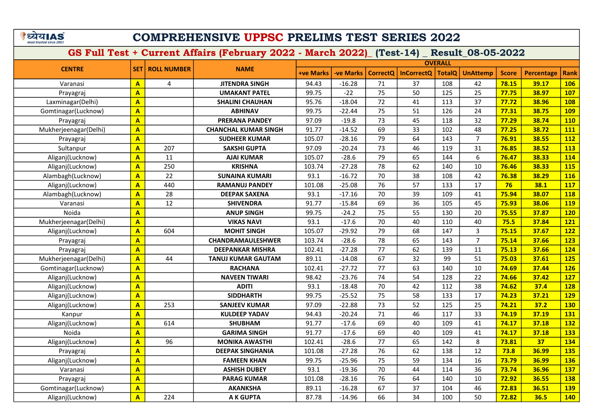# COMPREHENSIVE UPPSC PRELIMS TEST SERIES 2022

|                       |                         |                    |                             |                  |                 |                 |                   | <b>OVERALL</b> |                 |              |                   |             |
|-----------------------|-------------------------|--------------------|-----------------------------|------------------|-----------------|-----------------|-------------------|----------------|-----------------|--------------|-------------------|-------------|
| <b>CENTRE</b>         | <b>SET</b>              | <b>ROLL NUMBER</b> | <b>NAME</b>                 | <b>+ve Marks</b> | <b>ve Marks</b> | <b>CorrectQ</b> | <b>InCorrectQ</b> | TotalQ         | <b>UnAttemp</b> | <b>Score</b> | <b>Percentage</b> | <b>Rank</b> |
| Varanasi              | $\overline{\mathbf{A}}$ | 4                  | <b>JITENDRA SINGH</b>       | 94.43            | $-16.28$        | 71              | 37                | 108            | 42              | 78.15        | 39.17             | <b>106</b>  |
| Prayagraj             | $\overline{\mathbf{A}}$ |                    | <b>UMAKANT PATEL</b>        | 99.75            | $-22$           | 75              | 50                | 125            | 25              | 77.75        | 38.97             | 107         |
| Laxminagar(Delhi)     | $\overline{A}$          |                    | <b>SHALINI CHAUHAN</b>      | 95.76            | $-18.04$        | 72              | 41                | 113            | 37              | 77.72        | 38.96             | <b>108</b>  |
| Gomtinagar(Lucknow)   | $\overline{A}$          |                    | <b>ABHINAV</b>              | 99.75            | $-22.44$        | 75              | 51                | 126            | 24              | 77.31        | 38.75             | <b>109</b>  |
| Prayagraj             | $\overline{A}$          |                    | <b>PRERANA PANDEY</b>       | 97.09            | $-19.8$         | 73              | 45                | 118            | 32              | 77.29        | 38.74             | <b>110</b>  |
| Mukherjeenagar(Delhi) | $\overline{A}$          |                    | <b>CHANCHAL KUMAR SINGH</b> | 91.77            | $-14.52$        | 69              | 33                | 102            | 48              | 77.25        | 38.72             | <b>111</b>  |
| Prayagraj             | $\overline{A}$          |                    | <b>SUDHEER KUMAR</b>        | 105.07           | $-28.16$        | 79              | 64                | 143            | $\overline{7}$  | 76.91        | 38.55             | <b>112</b>  |
| Sultanpur             | $\overline{A}$          | 207                | <b>SAKSHI GUPTA</b>         | 97.09            | $-20.24$        | 73              | 46                | 119            | 31              | 76.85        | 38.52             | <b>113</b>  |
| Aliganj(Lucknow)      | $\overline{\mathbf{A}}$ | 11                 | <b>AJAI KUMAR</b>           | 105.07           | $-28.6$         | 79              | 65                | 144            | 6               | 76.47        | 38.33             | 114         |
| Aliganj(Lucknow)      | $\overline{\mathbf{A}}$ | 250                | <b>KRISHNA</b>              | 103.74           | $-27.28$        | 78              | 62                | 140            | 10              | 76.46        | 38.33             | <b>115</b>  |
| Alambagh(Lucknow)     | $\overline{\mathbf{A}}$ | 22                 | <b>SUNAINA KUMARI</b>       | 93.1             | $-16.72$        | 70              | 38                | 108            | 42              | 76.38        | 38.29             | <b>116</b>  |
| Aliganj(Lucknow)      | $\overline{\mathbf{A}}$ | 440                | <b>RAMANUJ PANDEY</b>       | 101.08           | $-25.08$        | 76              | 57                | 133            | 17              | 76           | 38.1              | <b>117</b>  |
| Alambagh(Lucknow)     | $\overline{\mathbf{A}}$ | 28                 | <b>DEEPAK SAXENA</b>        | 93.1             | $-17.16$        | 70              | 39                | 109            | 41              | 75.94        | 38.07             | <b>118</b>  |
| Varanasi              | $\overline{\mathbf{A}}$ | 12                 | <b>SHIVENDRA</b>            | 91.77            | $-15.84$        | 69              | 36                | 105            | 45              | 75.93        | 38.06             | <b>119</b>  |
| Noida                 | $\mathbf{A}$            |                    | <b>ANUP SINGH</b>           | 99.75            | $-24.2$         | 75              | 55                | 130            | 20              | 75.55        | 37.87             | <b>120</b>  |
| Mukherjeenagar(Delhi) | $\overline{\mathbf{A}}$ |                    | <b>VIKAS NAVI</b>           | 93.1             | $-17.6$         | $\overline{70}$ | 40                | 110            | 40              | 75.5         | 37.84             | 121         |
| Aliganj(Lucknow)      | $\overline{\mathbf{A}}$ | 604                | <b>MOHIT SINGH</b>          | 105.07           | $-29.92$        | 79              | 68                | 147            | $\overline{3}$  | 75.15        | 37.67             | 122         |
| Prayagraj             | $\overline{\mathbf{A}}$ |                    | <b>CHANDRAMAULESHWER</b>    | 103.74           | $-28.6$         | 78              | 65                | 143            | $\overline{7}$  | 75.14        | 37.66             | <b>123</b>  |
| Prayagraj             | $\overline{\mathbf{A}}$ |                    | <b>DEEPANKAR MISHRA</b>     | 102.41           | $-27.28$        | 77              | 62                | 139            | 11              | 75.13        | 37.66             | 124         |
| Mukherjeenagar(Delhi) | $\overline{\mathbf{A}}$ | 44                 | <b>TANUJ KUMAR GAUTAM</b>   | 89.11            | $-14.08$        | 67              | 32                | 99             | 51              | 75.03        | 37.61             | <b>125</b>  |
| Gomtinagar(Lucknow)   | $\overline{\mathbf{A}}$ |                    | <b>RACHANA</b>              | 102.41           | $-27.72$        | 77              | 63                | 140            | 10              | 74.69        | 37.44             | <b>126</b>  |
| Aliganj(Lucknow)      | $\overline{\mathbf{A}}$ |                    | <b>NAVEEN TIWARI</b>        | 98.42            | $-23.76$        | 74              | 54                | 128            | 22              | 74.66        | 37.42             | <b>127</b>  |
| Aliganj(Lucknow)      | $\overline{\mathbf{A}}$ |                    | <b>ADITI</b>                | 93.1             | $-18.48$        | 70              | 42                | 112            | 38              | 74.62        | 37.4              | <b>128</b>  |
| Aliganj(Lucknow)      | $\overline{\mathbf{A}}$ |                    | <b>SIDDHARTH</b>            | 99.75            | $-25.52$        | 75              | 58                | 133            | 17              | 74.23        | 37.21             | <b>129</b>  |
| Aliganj(Lucknow)      | $\overline{\mathbf{A}}$ | 253                | <b>SANJEEV KUMAR</b>        | 97.09            | $-22.88$        | 73              | 52                | 125            | 25              | 74.21        | 37.2              | <b>130</b>  |
| Kanpur                | $\overline{\mathbf{A}}$ |                    | <b>KULDEEP YADAV</b>        | 94.43            | $-20.24$        | 71              | 46                | 117            | 33              | 74.19        | 37.19             | 131         |
| Aliganj(Lucknow)      | $\overline{\mathbf{A}}$ | 614                | <b>SHUBHAM</b>              | 91.77            | $-17.6$         | 69              | 40                | 109            | 41              | 74.17        | 37.18             | <b>132</b>  |
| Noida                 | $\overline{\mathbf{A}}$ |                    | <b>GARIMA SINGH</b>         | 91.77            | $-17.6$         | 69              | 40                | 109            | 41              | 74.17        | 37.18             | <b>133</b>  |
| Aliganj(Lucknow)      | $\overline{\mathbf{A}}$ | 96                 | <b>MONIKA AWASTHI</b>       | 102.41           | $-28.6$         | 77              | 65                | 142            | 8               | 73.81        | 37                | 134         |
| Prayagraj             | $\overline{\mathbf{A}}$ |                    | <b>DEEPAK SINGHANIA</b>     | 101.08           | $-27.28$        | 76              | 62                | 138            | 12              | 73.8         | 36.99             | <b>135</b>  |
| Aliganj(Lucknow)      | $\overline{\mathbf{A}}$ |                    | <b>FAMEEN KHAN</b>          | 99.75            | $-25.96$        | 75              | 59                | 134            | 16              | 73.79        | 36.99             | <b>136</b>  |
| Varanasi              | $\overline{\mathbf{A}}$ |                    | <b>ASHISH DUBEY</b>         | 93.1             | $-19.36$        | 70              | 44                | 114            | 36              | 73.74        | 36.96             | 137         |
| Prayagraj             | $\overline{\mathbf{A}}$ |                    | <b>PARAG KUMAR</b>          | 101.08           | $-28.16$        | 76              | 64                | 140            | 10              | 72.92        | 36.55             | <b>138</b>  |
| Gomtinagar(Lucknow)   | $\overline{\mathbf{A}}$ |                    | <b>AKANKSHA</b>             | 89.11            | $-16.28$        | 67              | 37                | 104            | 46              | 72.83        | 36.51             | <b>139</b>  |
| Aliganj(Lucknow)      | $\overline{\mathbf{A}}$ | 224                | <b>AK GUPTA</b>             | 87.78            | $-14.96$        | 66              | 34                | 100            | 50              | 72.82        | 36.5              | <b>140</b>  |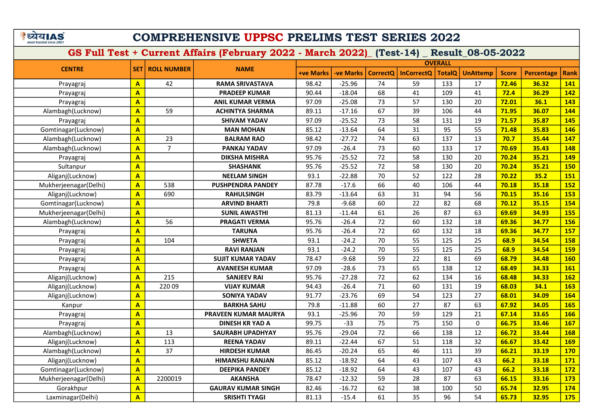## COMPREHENSIVE UPPSC PRELIMS TEST SERIES 2022

|                       |                         |                    |                             |                  |                  |                 |                   | <b>OVERALL</b> |                 |              |                   |             |
|-----------------------|-------------------------|--------------------|-----------------------------|------------------|------------------|-----------------|-------------------|----------------|-----------------|--------------|-------------------|-------------|
| <b>CENTRE</b>         | <b>SET</b>              | <b>ROLL NUMBER</b> | <b>NAME</b>                 | <b>+ve Marks</b> | <b>-ve Marks</b> | <b>CorrectQ</b> | <b>InCorrectQ</b> | <b>TotalQ</b>  | <b>UnAttemp</b> | <b>Score</b> | <b>Percentage</b> | <b>Rank</b> |
| Prayagraj             | A                       | 42                 | <b>RAMA SRIVASTAVA</b>      | 98.42            | $-25.96$         | 74              | 59                | 133            | 17              | 72.46        | 36.32             | 141         |
| Prayagraj             | A                       |                    | <b>PRADEEP KUMAR</b>        | 90.44            | $-18.04$         | 68              | 41                | 109            | 41              | 72.4         | 36.29             | <b>142</b>  |
| Prayagraj             | A                       |                    | <b>ANIL KUMAR VERMA</b>     | 97.09            | $-25.08$         | 73              | 57                | 130            | 20              | 72.01        | 36.1              | 143         |
| Alambagh(Lucknow)     | A                       | 59                 | <b>ACHINTYA SHARMA</b>      | 89.11            | $-17.16$         | 67              | 39                | 106            | 44              | 71.95        | 36.07             | 144         |
| Prayagraj             | A                       |                    | <b>SHIVAM YADAV</b>         | 97.09            | $-25.52$         | 73              | 58                | 131            | 19              | 71.57        | 35.87             | 145         |
| Gomtinagar(Lucknow)   | $\overline{\mathbf{A}}$ |                    | <b>MAN MOHAN</b>            | 85.12            | $-13.64$         | 64              | 31                | 95             | 55              | 71.48        | 35.83             | <b>146</b>  |
| Alambagh(Lucknow)     | A                       | 23                 | <b>BALRAM RAO</b>           | 98.42            | $-27.72$         | 74              | 63                | 137            | 13              | 70.7         | 35.44             | 147         |
| Alambagh(Lucknow)     | A                       | $\overline{7}$     | PANKAJ YADAV                | 97.09            | $-26.4$          | 73              | 60                | 133            | 17              | 70.69        | 35.43             | 148         |
| Prayagraj             | A                       |                    | <b>DIKSHA MISHRA</b>        | 95.76            | $-25.52$         | 72              | 58                | 130            | 20              | 70.24        | 35.21             | <b>149</b>  |
| Sultanpur             | $\overline{\mathsf{A}}$ |                    | <b>SHASHANK</b>             | 95.76            | $-25.52$         | 72              | 58                | 130            | 20              | 70.24        | 35.21             | <b>150</b>  |
| Aliganj(Lucknow)      | $\overline{A}$          |                    | <b>NEELAM SINGH</b>         | 93.1             | $-22.88$         | 70              | 52                | 122            | 28              | 70.22        | 35.2              | 151         |
| Mukherjeenagar(Delhi) | A                       | 538                | <b>PUSHPENDRA PANDEY</b>    | 87.78            | $-17.6$          | 66              | 40                | 106            | 44              | 70.18        | 35.18             | <b>152</b>  |
| Aliganj(Lucknow)      | $\overline{\mathbf{A}}$ | 690                | <b>RAHULSINGH</b>           | 83.79            | $-13.64$         | 63              | 31                | 94             | 56              | 70.15        | 35.16             | 153         |
| Gomtinagar(Lucknow)   | A                       |                    | <b>ARVIND BHARTI</b>        | 79.8             | $-9.68$          | 60              | 22                | 82             | 68              | 70.12        | 35.15             | 154         |
| Mukherjeenagar(Delhi) | A                       |                    | <b>SUNIL AWASTHI</b>        | 81.13            | $-11.44$         | 61              | 26                | 87             | 63              | 69.69        | 34.93             | <b>155</b>  |
| Alambagh(Lucknow)     | $\overline{A}$          | 56                 | <b>PRAGATI VERMA</b>        | 95.76            | $-26.4$          | 72              | 60                | 132            | 18              | 69.36        | 34.77             | <b>156</b>  |
| Prayagraj             | A                       |                    | <b>TARUNA</b>               | 95.76            | $-26.4$          | 72              | 60                | 132            | 18              | 69.36        | 34.77             | <b>157</b>  |
| Prayagraj             | A                       | 104                | <b>SHWETA</b>               | 93.1             | $-24.2$          | 70              | 55                | 125            | 25              | 68.9         | 34.54             | <b>158</b>  |
| Prayagraj             | A                       |                    | <b>RAVI RANJAN</b>          | 93.1             | $-24.2$          | 70              | 55                | 125            | 25              | 68.9         | 34.54             | <b>159</b>  |
| Prayagraj             | $\overline{A}$          |                    | <b>SUJIT KUMAR YADAV</b>    | 78.47            | $-9.68$          | 59              | 22                | 81             | 69              | 68.79        | 34.48             | <b>160</b>  |
| Prayagraj             | A                       |                    | <b>AVANEESH KUMAR</b>       | 97.09            | $-28.6$          | 73              | 65                | 138            | 12              | 68.49        | 34.33             | <b>161</b>  |
| Aliganj(Lucknow)      | A                       | 215                | <b>SANJEEV RAI</b>          | 95.76            | $-27.28$         | 72              | 62                | 134            | 16              | 68.48        | 34.33             | <b>162</b>  |
| Aliganj(Lucknow)      | A                       | 22009              | <b>VIJAY KUMAR</b>          | 94.43            | $-26.4$          | 71              | 60                | 131            | 19              | 68.03        | 34.1              | <b>163</b>  |
| Aliganj(Lucknow)      | A                       |                    | <b>SONIYA YADAV</b>         | 91.77            | $-23.76$         | 69              | 54                | 123            | 27              | 68.01        | 34.09             | <b>164</b>  |
| Kanpur                | A                       |                    | <b>BARKHA SAHU</b>          | 79.8             | $-11.88$         | 60              | 27                | 87             | 63              | 67.92        | 34.05             | <b>165</b>  |
| Prayagraj             | A                       |                    | <b>PRAVEEN KUMAR MAURYA</b> | 93.1             | $-25.96$         | 70              | 59                | 129            | 21              | 67.14        | 33.65             | <b>166</b>  |
| Prayagraj             | A                       |                    | <b>DINESH KR YAD A</b>      | 99.75            | $-33$            | 75              | 75                | 150            | $\mathsf{O}$    | 66.75        | 33.46             | <b>167</b>  |
| Alambagh(Lucknow)     | A                       | 13                 | <b>SAURABH UPADHYAY</b>     | 95.76            | $-29.04$         | 72              | 66                | 138            | 12              | 66.72        | 33.44             | <b>168</b>  |
| Aliganj(Lucknow)      | A                       | 113                | <b>REENA YADAV</b>          | 89.11            | $-22.44$         | 67              | 51                | 118            | 32              | 66.67        | 33.42             | <b>169</b>  |
| Alambagh(Lucknow)     | A                       | 37                 | <b>HIRDESH KUMAR</b>        | 86.45            | $-20.24$         | 65              | 46                | 111            | 39              | 66.21        | 33.19             | <b>170</b>  |
| Aliganj(Lucknow)      | A                       |                    | <b>HIMANSHU RANJAN</b>      | 85.12            | $-18.92$         | 64              | 43                | 107            | 43              | 66.2         | 33.18             | <b>171</b>  |
| Gomtinagar(Lucknow)   | A                       |                    | <b>DEEPIKA PANDEY</b>       | 85.12            | $-18.92$         | 64              | 43                | 107            | 43              | 66.2         | 33.18             | <b>172</b>  |
| Mukherjeenagar(Delhi) | A                       | 2200019            | <b>AKANSHA</b>              | 78.47            | $-12.32$         | 59              | 28                | 87             | 63              | 66.15        | 33.16             | <b>173</b>  |
| Gorakhpur             | A                       |                    | <b>GAURAV KUMAR SINGH</b>   | 82.46            | $-16.72$         | 62              | 38                | 100            | 50              | 65.74        | 32.95             | <b>174</b>  |
| Laxminagar(Delhi)     | A                       |                    | <b>SRISHTI TYAGI</b>        | 81.13            | $-15.4$          | 61              | 35                | 96             | 54              | 65.73        | 32.95             | <b>175</b>  |
|                       |                         |                    |                             |                  |                  |                 |                   |                |                 |              |                   |             |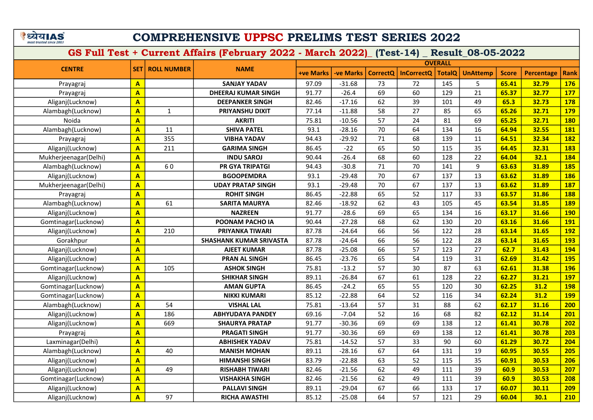## COMPREHENSIVE UPPSC PRELIMS TEST SERIES 2022

|                       |                         |                    |                                |                  |                  |                 |                   | <b>OVERALL</b> |                 |              |                   |             |
|-----------------------|-------------------------|--------------------|--------------------------------|------------------|------------------|-----------------|-------------------|----------------|-----------------|--------------|-------------------|-------------|
| <b>CENTRE</b>         | <b>SET</b>              | <b>ROLL NUMBER</b> | <b>NAME</b>                    | <b>+ve Marks</b> | <b>-ve Marks</b> | <b>CorrectQ</b> | <b>InCorrectQ</b> | <b>TotalQ</b>  | <b>UnAttemp</b> | <b>Score</b> | <b>Percentage</b> | <b>Rank</b> |
| Prayagraj             | $\mathbf{A}$            |                    | <b>SANJAY YADAV</b>            | 97.09            | $-31.68$         | 73              | 72                | 145            | 5               | 65.41        | 32.79             | <b>176</b>  |
| Prayagraj             | A                       |                    | <b>DHEERAJ KUMAR SINGH</b>     | 91.77            | $-26.4$          | 69              | 60                | 129            | 21              | 65.37        | 32.77             | <b>177</b>  |
| Aliganj(Lucknow)      | $\mathbf{A}$            |                    | <b>DEEPANKER SINGH</b>         | 82.46            | $-17.16$         | 62              | 39                | 101            | 49              | 65.3         | 32.73             | <b>178</b>  |
| Alambagh(Lucknow)     | $\mathbf{A}$            | $\mathbf{1}$       | PRIYANSHU DIXIT                | 77.14            | $-11.88$         | 58              | 27                | 85             | 65              | 65.26        | 32.71             | <b>179</b>  |
| Noida                 | $\mathbf{A}$            |                    | <b>AKRITI</b>                  | 75.81            | $-10.56$         | 57              | 24                | 81             | 69              | 65.25        | 32.71             | <b>180</b>  |
| Alambagh(Lucknow)     | $\mathbf{A}$            | 11                 | <b>SHIVA PATEL</b>             | 93.1             | $-28.16$         | 70              | 64                | 134            | 16              | 64.94        | 32.55             | <b>181</b>  |
| Prayagraj             | $\mathbf{A}$            | 355                | <b>VIBHA YADAV</b>             | 94.43            | $-29.92$         | 71              | 68                | 139            | 11              | 64.51        | 32.34             | <b>182</b>  |
| Aliganj(Lucknow)      | $\overline{\mathbf{A}}$ | 211                | <b>GARIMA SINGH</b>            | 86.45            | $-22$            | 65              | 50                | 115            | 35              | 64.45        | 32.31             | <b>183</b>  |
| Mukherjeenagar(Delhi) | $\overline{\mathbf{A}}$ |                    | <b>INDU SAROJ</b>              | 90.44            | $-26.4$          | 68              | 60                | 128            | 22              | 64.04        | 32.1              | 184         |
| Alambagh(Lucknow)     | $\overline{A}$          | 60                 | PR GYA TRIPATGI                | 94.43            | $-30.8$          | 71              | 70                | 141            | 9               | 63.63        | 31.89             | <b>185</b>  |
| Aliganj(Lucknow)      | $\overline{A}$          |                    | <b>BGOOPEMDRA</b>              | 93.1             | $-29.48$         | 70              | 67                | 137            | 13              | 63.62        | 31.89             | <b>186</b>  |
| Mukherjeenagar(Delhi) | $\mathbf{A}$            |                    | <b>UDAY PRATAP SINGH</b>       | 93.1             | $-29.48$         | 70              | 67                | 137            | 13              | 63.62        | 31.89             | 187         |
| Prayagraj             | $\mathbf{A}$            |                    | <b>ROHIT SINGH</b>             | 86.45            | $-22.88$         | 65              | 52                | 117            | 33              | 63.57        | 31.86             | <b>188</b>  |
| Alambagh(Lucknow)     | $\overline{\mathsf{A}}$ | 61                 | <b>SARITA MAURYA</b>           | 82.46            | $-18.92$         | 62              | 43                | 105            | 45              | 63.54        | 31.85             | <b>189</b>  |
| Aliganj(Lucknow)      | $\overline{\mathbf{A}}$ |                    | <b>NAZREEN</b>                 | 91.77            | $-28.6$          | 69              | 65                | 134            | 16              | 63.17        | 31.66             | <b>190</b>  |
| Gomtinagar(Lucknow)   | $\overline{\mathbf{A}}$ |                    | POONAM PACHO IA                | 90.44            | $-27.28$         | 68              | 62                | 130            | 20              | 63.16        | 31.66             | <b>191</b>  |
| Aliganj(Lucknow)      | $\overline{\mathsf{A}}$ | 210                | PRIYANKA TIWARI                | 87.78            | $-24.64$         | 66              | 56                | 122            | 28              | 63.14        | 31.65             | <b>192</b>  |
| Gorakhpur             | $\overline{\mathbf{A}}$ |                    | <b>SHASHANK KUMAR SRIVASTA</b> | 87.78            | $-24.64$         | 66              | 56                | 122            | 28              | 63.14        | 31.65             | <b>193</b>  |
| Aliganj(Lucknow)      | $\mathbf{A}$            |                    | <b>AJEET KUMAR</b>             | 87.78            | $-25.08$         | 66              | 57                | 123            | 27              | 62.7         | 31.43             | 194         |
| Aliganj(Lucknow)      | $\overline{A}$          |                    | <b>PRAN AL SINGH</b>           | 86.45            | $-23.76$         | 65              | 54                | 119            | 31              | 62.69        | 31.42             | <b>195</b>  |
| Gomtinagar(Lucknow)   | A                       | 105                | <b>ASHOK SINGH</b>             | 75.81            | $-13.2$          | 57              | 30                | 87             | 63              | 62.61        | 31.38             | <b>196</b>  |
| Aliganj(Lucknow)      | $\overline{\mathsf{A}}$ |                    | <b>SHIKHAR SINGH</b>           | 89.11            | $-26.84$         | 67              | 61                | 128            | 22              | 62.27        | 31.21             | <b>197</b>  |
| Gomtinagar(Lucknow)   | $\overline{\mathbf{A}}$ |                    | <b>AMAN GUPTA</b>              | 86.45            | $-24.2$          | 65              | 55                | 120            | 30              | 62.25        | 31.2              | <b>198</b>  |
| Gomtinagar(Lucknow)   | $\mathbf{A}$            |                    | <b>NIKKI KUMARI</b>            | 85.12            | $-22.88$         | 64              | 52                | 116            | 34              | 62.24        | 31.2              | <b>199</b>  |
| Alambagh(Lucknow)     | $\mathbf{A}$            | 54                 | <b>VISHAL LAL</b>              | 75.81            | $-13.64$         | 57              | 31                | 88             | 62              | 62.17        | 31.16             | 200         |
| Aliganj(Lucknow)      | $\mathbf{A}$            | 186                | <b>ABHYUDAYA PANDEY</b>        | 69.16            | $-7.04$          | 52              | 16                | 68             | 82              | 62.12        | 31.14             | 201         |
| Aliganj(Lucknow)      | $\overline{\mathbf{A}}$ | 669                | <b>SHAURYA PRATAP</b>          | 91.77            | $-30.36$         | 69              | 69                | 138            | 12              | 61.41        | 30.78             | 202         |
| Prayagraj             | $\mathbf{A}$            |                    | <b>PRAGATI SINGH</b>           | 91.77            | $-30.36$         | 69              | 69                | 138            | 12              | 61.41        | 30.78             | 203         |
| Laxminagar(Delhi)     | $\mathbf{A}$            |                    | <b>ABHISHEK YADAV</b>          | 75.81            | $-14.52$         | 57              | 33                | 90             | 60              | 61.29        | 30.72             | 204         |
| Alambagh(Lucknow)     | $\mathbf{A}$            | 40                 | <b>MANISH MOHAN</b>            | 89.11            | $-28.16$         | 67              | 64                | 131            | 19              | 60.95        | 30.55             | 205         |
| Aliganj(Lucknow)      | $\overline{\mathsf{A}}$ |                    | <b>HIMANSHI SINGH</b>          | 83.79            | $-22.88$         | 63              | 52                | 115            | 35              | 60.91        | 30.53             | 206         |
| Aliganj(Lucknow)      | $\overline{\mathbf{A}}$ | 49                 | <b>RISHABH TIWARI</b>          | 82.46            | $-21.56$         | 62              | 49                | 111            | 39              | 60.9         | 30.53             | 207         |
| Gomtinagar(Lucknow)   | $\overline{A}$          |                    | <b>VISHAKHA SINGH</b>          | 82.46            | $-21.56$         | 62              | 49                | 111            | 39              | 60.9         | 30.53             | 208         |
| Aliganj(Lucknow)      | $\mathbf{A}$            |                    | <b>PALLAVI SINGH</b>           | 89.11            | $-29.04$         | 67              | 66                | 133            | 17              | 60.07        | 30.11             | 209         |
| Aliganj(Lucknow)      | $\overline{\mathbf{A}}$ | 97                 | <b>RICHA AWASTHI</b>           | 85.12            | $-25.08$         | 64              | 57                | 121            | 29              | 60.04        | 30.1              | 210         |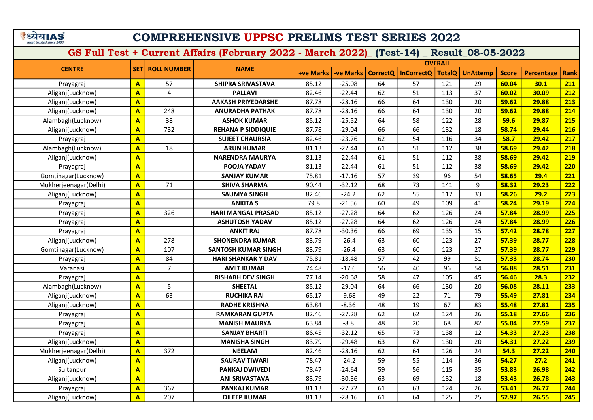# COMPREHENSIVE UPPSC PRELIMS TEST SERIES 2022

|                       |                         |                    |                            |                  |           |                 |                   | <b>OVERALL</b> |                 |              |                   |             |
|-----------------------|-------------------------|--------------------|----------------------------|------------------|-----------|-----------------|-------------------|----------------|-----------------|--------------|-------------------|-------------|
| <b>CENTRE</b>         | <b>SET</b>              | <b>ROLL NUMBER</b> | <b>NAME</b>                | <b>+ve Marks</b> | -ve Marks | <b>CorrectQ</b> | <b>InCorrectQ</b> | <b>TotalQ</b>  | <b>UnAttemp</b> | <b>Score</b> | <b>Percentage</b> | <b>Rank</b> |
| Prayagraj             | $\mathbf{A}$            | 57                 | SHIPRA SRIVASTAVA          | 85.12            | $-25.08$  | 64              | 57                | 121            | 29              | 60.04        | 30.1              | 211         |
| Aliganj(Lucknow)      | $\overline{\mathbf{A}}$ | 4                  | <b>PALLAVI</b>             | 82.46            | $-22.44$  | 62              | 51                | 113            | 37              | 60.02        | 30.09             | 212         |
| Aliganj(Lucknow)      | A                       |                    | <b>AAKASH PRIYEDARSHE</b>  | 87.78            | $-28.16$  | 66              | 64                | 130            | 20              | 59.62        | 29.88             | 213         |
| Aliganj(Lucknow)      | A                       | 248                | <b>ANURADHA PATHAK</b>     | 87.78            | $-28.16$  | 66              | 64                | 130            | 20              | 59.62        | 29.88             | 214         |
| Alambagh(Lucknow)     | $\overline{\mathbf{A}}$ | 38                 | <b>ASHOK KUMAR</b>         | 85.12            | $-25.52$  | 64              | 58                | 122            | 28              | 59.6         | 29.87             | 215         |
| Aliganj(Lucknow)      | A                       | 732                | <b>REHANA P SIDDIQUIE</b>  | 87.78            | $-29.04$  | 66              | 66                | 132            | 18              | 58.74        | 29.44             | 216         |
| Prayagraj             | A                       |                    | <b>SUJEET CHAURSIA</b>     | 82.46            | $-23.76$  | 62              | 54                | 116            | 34              | 58.7         | 29.42             | 217         |
| Alambagh(Lucknow)     | A                       | 18                 | <b>ARUN KUMAR</b>          | 81.13            | $-22.44$  | 61              | 51                | 112            | 38              | 58.69        | 29.42             | 218         |
| Aliganj(Lucknow)      | A                       |                    | <b>NARENDRA MAURYA</b>     | 81.13            | $-22.44$  | 61              | 51                | 112            | 38              | 58.69        | 29.42             | 219         |
| Prayagraj             | A                       |                    | POOJA YADAV                | 81.13            | $-22.44$  | 61              | 51                | 112            | 38              | 58.69        | 29.42             | 220         |
| Gomtinagar(Lucknow)   | $\overline{A}$          |                    | <b>SANJAY KUMAR</b>        | 75.81            | $-17.16$  | 57              | 39                | 96             | 54              | 58.65        | 29.4              | 221         |
| Mukherjeenagar(Delhi) | A                       | 71                 | <b>SHIVA SHARMA</b>        | 90.44            | $-32.12$  | 68              | 73                | 141            | 9               | 58.32        | 29.23             | 222         |
| Aliganj(Lucknow)      | $\overline{A}$          |                    | <b>SAUMYA SINGH</b>        | 82.46            | $-24.2$   | 62              | 55                | 117            | 33              | 58.26        | 29.2              | 223         |
| Prayagraj             | $\overline{A}$          |                    | <b>ANKITA S</b>            | 79.8             | $-21.56$  | 60              | 49                | 109            | 41              | 58.24        | 29.19             | 224         |
| Prayagraj             | A                       | 326                | <b>HARI MANGAL PRASAD</b>  | 85.12            | $-27.28$  | 64              | 62                | 126            | 24              | 57.84        | 28.99             | 225         |
| Prayagraj             | $\overline{A}$          |                    | <b>ASHUTOSH YADAV</b>      | 85.12            | $-27.28$  | 64              | 62                | 126            | 24              | 57.84        | 28.99             | 226         |
| Prayagraj             | A                       |                    | <b>ANKIT RAJ</b>           | 87.78            | $-30.36$  | 66              | 69                | 135            | 15              | 57.42        | 28.78             | 227         |
| Aliganj(Lucknow)      | A                       | 278                | <b>SHONENDRA KUMAR</b>     | 83.79            | $-26.4$   | 63              | 60                | 123            | 27              | 57.39        | 28.77             | 228         |
| Gomtinagar(Lucknow)   | A                       | 107                | <b>SANTOSH KUMAR SINGH</b> | 83.79            | $-26.4$   | 63              | 60                | 123            | 27              | 57.39        | 28.77             | 229         |
| Prayagraj             | A                       | 84                 | <b>HARI SHANKAR Y DAV</b>  | 75.81            | $-18.48$  | 57              | 42                | 99             | 51              | 57.33        | 28.74             | 230         |
| Varanasi              | A                       | $\overline{7}$     | <b>AMIT KUMAR</b>          | 74.48            | $-17.6$   | 56              | 40                | 96             | 54              | 56.88        | 28.51             | 231         |
| Prayagraj             | A                       |                    | <b>RISHABH DEV SINGH</b>   | 77.14            | $-20.68$  | 58              | 47                | 105            | 45              | 56.46        | 28.3              | 232         |
| Alambagh(Lucknow)     | A                       | 5                  | <b>SHEETAL</b>             | 85.12            | $-29.04$  | 64              | 66                | 130            | 20              | 56.08        | 28.11             | 233         |
| Aliganj(Lucknow)      | A                       | 63                 | <b>RUCHIKA RAI</b>         | 65.17            | $-9.68$   | 49              | 22                | 71             | 79              | 55.49        | 27.81             | 234         |
| Aliganj(Lucknow)      | A                       |                    | <b>RADHE KRISHNA</b>       | 63.84            | $-8.36$   | 48              | 19                | 67             | 83              | 55.48        | 27.81             | 235         |
| Prayagraj             | $\overline{A}$          |                    | <b>RAMKARAN GUPTA</b>      | 82.46            | $-27.28$  | 62              | 62                | 124            | 26              | 55.18        | 27.66             | 236         |
| Prayagraj             | A                       |                    | <b>MANISH MAURYA</b>       | 63.84            | $-8.8$    | 48              | 20                | 68             | 82              | 55.04        | 27.59             | 237         |
| Prayagraj             | A                       |                    | <b>SANJAY BHARTI</b>       | 86.45            | $-32.12$  | 65              | 73                | 138            | 12              | 54.33        | 27.23             | 238         |
| Aliganj(Lucknow)      | A                       |                    | <b>MANISHA SINGH</b>       | 83.79            | $-29.48$  | 63              | 67                | 130            | 20              | 54.31        | 27.22             | 239         |
| Mukherjeenagar(Delhi) | A                       | 372                | <b>NEELAM</b>              | 82.46            | $-28.16$  | 62              | 64                | 126            | 24              | 54.3         | 27.22             | 240         |
| Aliganj(Lucknow)      | A                       |                    | <b>SAURAV TIWARI</b>       | 78.47            | $-24.2$   | 59              | 55                | 114            | 36              | 54.27        | 27.2              | 241         |
| Sultanpur             | $\overline{\mathsf{A}}$ |                    | PANKAJ DWIVEDI             | 78.47            | $-24.64$  | 59              | 56                | 115            | 35              | 53.83        | 26.98             | 242         |
| Aliganj(Lucknow)      | $\overline{\mathbf{A}}$ |                    | <b>ANI SRIVASTAVA</b>      | 83.79            | $-30.36$  | 63              | 69                | 132            | 18              | 53.43        | 26.78             | 243         |
| Prayagraj             | $\overline{\mathsf{A}}$ | 367                | <b>PANKAJ KUMAR</b>        | 81.13            | $-27.72$  | 61              | 63                | 124            | 26              | 53.41        | 26.77             | 244         |
| Aliganj(Lucknow)      | A                       | 207                | <b>DILEEP KUMAR</b>        | 81.13            | $-28.16$  | 61              | 64                | 125            | 25              | 52.97        | 26.55             | 245         |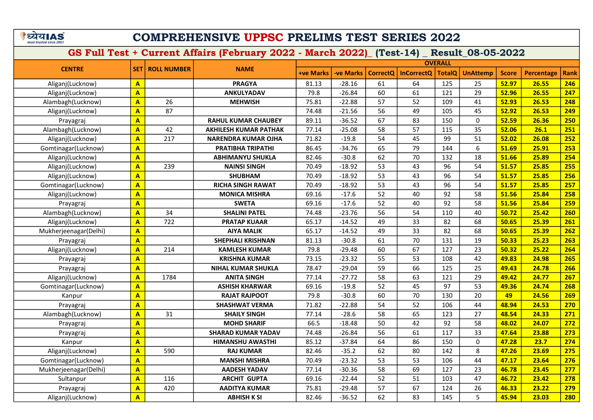# COMPREHENSIVE UPPSC PRELIMS TEST SERIES 2022

|                       |                         |                    |                              |                  |                  |                 |                   | <b>OVERALL</b> |                 |              |                   |             |
|-----------------------|-------------------------|--------------------|------------------------------|------------------|------------------|-----------------|-------------------|----------------|-----------------|--------------|-------------------|-------------|
| <b>CENTRE</b>         | <b>SET</b>              | <b>ROLL NUMBER</b> | <b>NAME</b>                  | <b>+ve Marks</b> | <b>-ve Marks</b> | <b>CorrectQ</b> | <b>InCorrectQ</b> | <b>TotalQ</b>  | <b>UnAttemp</b> | <b>Score</b> | <b>Percentage</b> | <b>Rank</b> |
| Aliganj(Lucknow)      | A                       |                    | <b>PRAGYA</b>                | 81.13            | $-28.16$         | 61              | 64                | 125            | 25              | 52.97        | 26.55             | 246         |
| Aliganj(Lucknow)      | A                       |                    | <b>ANKULYADAV</b>            | 79.8             | $-26.84$         | 60              | 61                | 121            | 29              | 52.96        | 26.55             | 247         |
| Alambagh(Lucknow)     | $\overline{\mathsf{A}}$ | 26                 | <b>MEHWISH</b>               | 75.81            | $-22.88$         | 57              | 52                | 109            | 41              | 52.93        | 26.53             | 248         |
| Aliganj(Lucknow)      | A                       | 87                 |                              | 74.48            | $-21.56$         | 56              | 49                | 105            | 45              | 52.92        | 26.53             | 249         |
| Prayagraj             | A                       |                    | <b>RAHUL KUMAR CHAUBEY</b>   | 89.11            | $-36.52$         | 67              | 83                | 150            | $\Omega$        | 52.59        | 26.36             | 250         |
| Alambagh(Lucknow)     | A                       | 42                 | <b>AKHILESH KUMAR PATHAK</b> | 77.14            | $-25.08$         | 58              | 57                | 115            | 35              | 52.06        | 26.1              | 251         |
| Aliganj(Lucknow)      | A                       | 217                | <b>NARENDRA KUMAR OJHA</b>   | 71.82            | $-19.8$          | 54              | 45                | 99             | 51              | 52.02        | 26.08             | 252         |
| Gomtinagar(Lucknow)   | A                       |                    | <b>PRATIBHA TRIPATHI</b>     | 86.45            | $-34.76$         | 65              | 79                | 144            | 6               | 51.69        | 25.91             | 253         |
| Aliganj(Lucknow)      | $\overline{\mathbf{A}}$ |                    | ABHIMANYU SHUKLA             | 82.46            | $-30.8$          | 62              | 70                | 132            | 18              | 51.66        | 25.89             | 254         |
| Aliganj(Lucknow)      | $\overline{\mathbf{A}}$ | 239                | <b>NAINSI SINGH</b>          | 70.49            | $-18.92$         | 53              | 43                | 96             | 54              | 51.57        | 25.85             | 255         |
| Aliganj(Lucknow)      | $\overline{\mathbf{A}}$ |                    | <b>SHUBHAM</b>               | 70.49            | $-18.92$         | 53              | 43                | 96             | 54              | 51.57        | 25.85             | 256         |
| Gomtinagar(Lucknow)   | A                       |                    | <b>RICHA SINGH RAWAT</b>     | 70.49            | $-18.92$         | 53              | 43                | 96             | 54              | 51.57        | 25.85             | 257         |
| Aliganj(Lucknow)      | A                       |                    | <b>MONICA MISHRA</b>         | 69.16            | $-17.6$          | 52              | 40                | 92             | 58              | 51.56        | 25.84             | 258         |
| Prayagraj             | A                       |                    | <b>SWETA</b>                 | 69.16            | $-17.6$          | 52              | 40                | 92             | 58              | 51.56        | 25.84             | 259         |
| Alambagh(Lucknow)     | A                       | 34                 | <b>SHALINI PATEL</b>         | 74.48            | $-23.76$         | 56              | 54                | 110            | 40              | 50.72        | 25.42             | 260         |
| Aliganj(Lucknow)      | A                       | 722                | <b>PRATAP KUAAR</b>          | 65.17            | $-14.52$         | 49              | 33                | 82             | 68              | 50.65        | 25.39             | 261         |
| Mukherjeenagar(Delhi) | A                       |                    | <b>AIYA MALIK</b>            | 65.17            | $-14.52$         | 49              | 33                | 82             | 68              | 50.65        | 25.39             | 262         |
| Prayagraj             | A                       |                    | <b>SHEPHALI KRISHNAN</b>     | 81.13            | $-30.8$          | 61              | 70                | 131            | 19              | 50.33        | 25.23             | 263         |
| Aliganj(Lucknow)      | A                       | 214                | <b>KAMLESH KUMAR</b>         | 79.8             | $-29.48$         | 60              | 67                | 127            | 23              | 50.32        | 25.22             | 264         |
| Prayagraj             | $\overline{\mathsf{A}}$ |                    | <b>KRISHNA KUMAR</b>         | 73.15            | $-23.32$         | 55              | 53                | 108            | 42              | 49.83        | 24.98             | 265         |
| Prayagraj             | $\overline{\mathsf{A}}$ |                    | <b>NIHAL KUMAR SHUKLA</b>    | 78.47            | $-29.04$         | 59              | 66                | 125            | 25              | 49.43        | 24.78             | 266         |
| Aliganj(Lucknow)      | $\overline{\mathsf{A}}$ | 1784               | <b>ANITA SINGH</b>           | 77.14            | $-27.72$         | 58              | 63                | 121            | 29              | 49.42        | 24.77             | 267         |
| Gomtinagar(Lucknow)   | A                       |                    | <b>ASHISH KHARWAR</b>        | 69.16            | $-19.8$          | 52              | 45                | 97             | 53              | 49.36        | 24.74             | 268         |
| Kanpur                | A                       |                    | <b>RAJAT RAJPOOT</b>         | 79.8             | $-30.8$          | 60              | 70                | 130            | 20              | 49           | 24.56             | 269         |
| Prayagraj             | A                       |                    | <b>SHASHWAT VERMA</b>        | 71.82            | $-22.88$         | 54              | 52                | 106            | 44              | 48.94        | 24.53             | 270         |
| Alambagh(Lucknow)     | $\overline{\mathsf{A}}$ | 31                 | <b>SHAILY SINGH</b>          | 77.14            | $-28.6$          | 58              | 65                | 123            | 27              | 48.54        | 24.33             | 271         |
| Prayagraj             | A                       |                    | <b>MOHD SHARIF</b>           | 66.5             | $-18.48$         | 50              | 42                | 92             | 58              | 48.02        | 24.07             | 272         |
| Prayagraj             | $\overline{\mathsf{A}}$ |                    | <b>SHARAD KUMAR YADAV</b>    | 74.48            | $-26.84$         | 56              | 61                | 117            | 33              | 47.64        | 23.88             | 273         |
| Kanpur                | $\overline{\mathsf{A}}$ |                    | <b>HIMANSHU AWASTHI</b>      | 85.12            | $-37.84$         | 64              | 86                | 150            | $\Omega$        | 47.28        | 23.7              | 274         |
| Aliganj(Lucknow)      | $\overline{A}$          | 590                | <b>RAJ KUMAR</b>             | 82.46            | $-35.2$          | 62              | 80                | 142            | 8               | 47.26        | 23.69             | 275         |
| Gomtinagar(Lucknow)   | $\overline{A}$          |                    | <b>MANSHI MISHRA</b>         | 70.49            | $-23.32$         | 53              | 53                | 106            | 44              | 47.17        | 23.64             | 276         |
| Mukherjeenagar(Delhi) | $\overline{\mathsf{A}}$ |                    | <b>AADESH YADAV</b>          | 77.14            | $-30.36$         | 58              | 69                | 127            | 23              | 46.78        | 23.45             | 277         |
| Sultanpur             | A                       | 116                | <b>ARCHIT GUPTA</b>          | 69.16            | $-22.44$         | 52              | 51                | 103            | 47              | 46.72        | 23.42             | 278         |
| Prayagraj             | A                       | 420                | <b>AADITYA KUMAR</b>         | 75.81            | $-29.48$         | 57              | 67                | 124            | 26              | 46.33        | 23.22             | 279         |
| Aliganj(Lucknow)      | A                       |                    | <b>ABHISH K SI</b>           | 82.46            | $-36.52$         | 62              | 83                | 145            | 5               | 45.94        | 23.03             | 280         |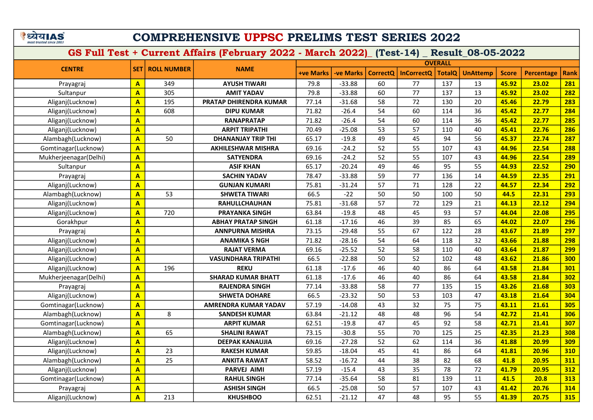# COMPREHENSIVE UPPSC PRELIMS TEST SERIES 2022

|                       |                         |                          |                            |                  |                  |                 |                   | <b>OVERALL</b> |                 |              |                   |             |
|-----------------------|-------------------------|--------------------------|----------------------------|------------------|------------------|-----------------|-------------------|----------------|-----------------|--------------|-------------------|-------------|
| <b>CENTRE</b>         |                         | <b>SET   ROLL NUMBER</b> | <b>NAME</b>                | <b>+ve Marks</b> | <b>-ve Marks</b> | <b>CorrectQ</b> | <b>InCorrectQ</b> | <b>TotalQ</b>  | <b>UnAttemp</b> | <b>Score</b> | <b>Percentage</b> | <b>Rank</b> |
| Prayagraj             | $\overline{\mathbf{A}}$ | 349                      | <b>AYUSH TIWARI</b>        | 79.8             | $-33.88$         | 60              | 77                | 137            | 13              | 45.92        | 23.02             | 281         |
| Sultanpur             | $\overline{\mathbf{A}}$ | 305                      | <b>AMIT YADAV</b>          | 79.8             | $-33.88$         | 60              | 77                | 137            | 13              | 45.92        | 23.02             | 282         |
| Aliganj(Lucknow)      | $\overline{\mathbf{A}}$ | 195                      | PRATAP DHIRENDRA KUMAR     | 77.14            | $-31.68$         | 58              | 72                | 130            | 20              | 45.46        | 22.79             | 283         |
| Aliganj(Lucknow)      | $\overline{\mathsf{A}}$ | 608                      | <b>DIPU KUMAR</b>          | 71.82            | $-26.4$          | 54              | 60                | 114            | 36              | 45.42        | 22.77             | 284         |
| Aliganj(Lucknow)      | $\overline{\mathbf{A}}$ |                          | <b>RANAPRATAP</b>          | 71.82            | $-26.4$          | 54              | 60                | 114            | 36              | 45.42        | 22.77             | 285         |
| Aliganj(Lucknow)      | $\overline{\mathbf{A}}$ |                          | <b>ARPIT TRIPATHI</b>      | 70.49            | $-25.08$         | 53              | 57                | 110            | 40              | 45.41        | 22.76             | 286         |
| Alambagh(Lucknow)     | $\overline{\mathbf{A}}$ | 50                       | <b>DHANANJAY TRIP THI</b>  | 65.17            | $-19.8$          | 49              | 45                | 94             | 56              | 45.37        | 22.74             | 287         |
| Gomtinagar(Lucknow)   | $\overline{\mathbf{A}}$ |                          | <b>AKHILESHWAR MISHRA</b>  | 69.16            | $-24.2$          | 52              | 55                | 107            | 43              | 44.96        | 22.54             | 288         |
| Mukherjeenagar(Delhi) | $\mathbf{A}$            |                          | <b>SATYENDRA</b>           | 69.16            | $-24.2$          | 52              | 55                | 107            | 43              | 44.96        | 22.54             | 289         |
| Sultanpur             | $\mathbf{A}$            |                          | <b>ASIF KHAN</b>           | 65.17            | $-20.24$         | 49              | 46                | 95             | 55              | 44.93        | 22.52             | 290         |
| Prayagraj             | $\mathbf{A}$            |                          | <b>SACHIN YADAV</b>        | 78.47            | $-33.88$         | 59              | 77                | 136            | 14              | 44.59        | 22.35             | 291         |
| Aliganj(Lucknow)      | $\mathbf{A}$            |                          | <b>GUNJAN KUMARI</b>       | 75.81            | $-31.24$         | 57              | 71                | 128            | 22              | 44.57        | 22.34             | 292         |
| Alambagh(Lucknow)     | $\mathbf{A}$            | 53                       | <b>SHWETA TIWARI</b>       | 66.5             | $-22$            | 50              | 50                | 100            | 50              | 44.5         | 22.31             | 293         |
| Aliganj(Lucknow)      | $\mathbf{A}$            |                          | RAHULLCHAUHAN              | 75.81            | $-31.68$         | 57              | 72                | 129            | 21              | 44.13        | 22.12             | 294         |
| Aliganj(Lucknow)      | $\overline{\mathbf{A}}$ | 720                      | <b>PRAYANKA SINGH</b>      | 63.84            | $-19.8$          | 48              | 45                | 93             | 57              | 44.04        | 22.08             | 295         |
| Gorakhpur             | $\mathbf{A}$            |                          | ABHAY PRATAP SINGH         | 61.18            | $-17.16$         | 46              | 39                | 85             | 65              | 44.02        | 22.07             | 296         |
| Prayagraj             | $\overline{\mathbf{A}}$ |                          | <b>ANNPURNA MISHRA</b>     | 73.15            | $-29.48$         | 55              | 67                | 122            | 28              | 43.67        | 21.89             | 297         |
| Aliganj(Lucknow)      | $\overline{\mathbf{A}}$ |                          | <b>ANAMIKA S NGH</b>       | 71.82            | $-28.16$         | 54              | 64                | 118            | 32              | 43.66        | 21.88             | 298         |
| Aliganj(Lucknow)      | $\overline{\mathbf{A}}$ |                          | <b>RAJAT VERMA</b>         | 69.16            | $-25.52$         | 52              | 58                | 110            | 40              | 43.64        | 21.87             | 299         |
| Aliganj(Lucknow)      | $\overline{\mathbf{A}}$ |                          | <b>VASUNDHARA TRIPATHI</b> | 66.5             | $-22.88$         | 50              | 52                | 102            | 48              | 43.62        | 21.86             | 300         |
| Aliganj(Lucknow)      | $\overline{A}$          | 196                      | <b>REKU</b>                | 61.18            | $-17.6$          | 46              | 40                | 86             | 64              | 43.58        | 21.84             | 301         |
| Mukherjeenagar(Delhi) | $\overline{\mathbf{A}}$ |                          | <b>SHARAD KUMAR BHATT</b>  | 61.18            | $-17.6$          | 46              | 40                | 86             | 64              | 43.58        | 21.84             | 302         |
| Prayagraj             | $\overline{\mathbf{A}}$ |                          | <b>RAJENDRA SINGH</b>      | 77.14            | $-33.88$         | 58              | 77                | 135            | 15              | 43.26        | 21.68             | 303         |
| Aliganj(Lucknow)      | $\overline{\mathbf{A}}$ |                          | <b>SHWETA DOHARE</b>       | 66.5             | $-23.32$         | 50              | 53                | 103            | 47              | 43.18        | 21.64             | 304         |
| Gomtinagar(Lucknow)   | $\overline{\mathbf{A}}$ |                          | AMRENDRA KUMAR YADAV       | 57.19            | $-14.08$         | 43              | 32                | 75             | 75              | 43.11        | 21.61             | 305         |
| Alambagh(Lucknow)     | $\overline{A}$          | 8                        | <b>SANDESH KUMAR</b>       | 63.84            | $-21.12$         | 48              | 48                | 96             | 54              | 42.72        | 21.41             | 306         |
| Gomtinagar(Lucknow)   | $\overline{\mathbf{A}}$ |                          | <b>ARPIT KUMAR</b>         | 62.51            | $-19.8$          | 47              | 45                | 92             | 58              | 42.71        | 21.41             | 307         |
| Alambagh(Lucknow)     | $\overline{\mathbf{A}}$ | 65                       | <b>SHALINI RAWAT</b>       | 73.15            | $-30.8$          | 55              | 70                | 125            | 25              | 42.35        | 21.23             | 308         |
| Aliganj(Lucknow)      | $\overline{\mathbf{A}}$ |                          | <b>DEEPAK KANAUJIA</b>     | 69.16            | $-27.28$         | 52              | 62                | 114            | 36              | 41.88        | 20.99             | 309         |
| Aliganj(Lucknow)      | $\overline{\mathbf{A}}$ | 23                       | <b>RAKESH KUMAR</b>        | 59.85            | $-18.04$         | 45              | 41                | 86             | 64              | 41.81        | 20.96             | 310         |
| Alambagh(Lucknow)     | A                       | 25                       | <b>ANKITA RAWAT</b>        | 58.52            | $-16.72$         | 44              | 38                | 82             | 68              | 41.8         | 20.95             | 311         |
| Aliganj(Lucknow)      | $\overline{\mathbf{A}}$ |                          | <b>PARVEJ AIMI</b>         | 57.19            | $-15.4$          | 43              | 35                | 78             | 72              | 41.79        | 20.95             | 312         |
| Gomtinagar(Lucknow)   | $\overline{\mathsf{A}}$ |                          | <b>RAHUL SINGH</b>         | 77.14            | $-35.64$         | 58              | 81                | 139            | 11              | 41.5         | 20.8              | 313         |
| Prayagraj             | $\mathbf{A}$            |                          | <b>ASHISH SINGH</b>        | 66.5             | $-25.08$         | 50              | 57                | 107            | 43              | 41.42        | 20.76             | 314         |
| Aliganj(Lucknow)      | $\overline{\mathsf{A}}$ | 213                      | <b>KHUSHBOO</b>            | 62.51            | $-21.12$         | 47              | 48                | 95             | 55              | 41.39        | 20.75             | 315         |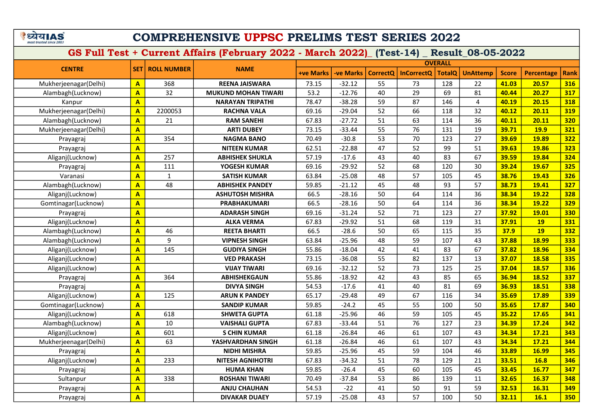# COMPREHENSIVE UPPSC PRELIMS TEST SERIES 2022

| <b>OVERALL</b>        |                         |                    |                            |                  |                  |                 |                   |               |                 |              |                   |             |
|-----------------------|-------------------------|--------------------|----------------------------|------------------|------------------|-----------------|-------------------|---------------|-----------------|--------------|-------------------|-------------|
| <b>CENTRE</b>         | <b>SET</b>              | <b>ROLL NUMBER</b> | <b>NAME</b>                | <b>+ve Marks</b> | <b>-ve Marks</b> | <b>CorrectQ</b> | <b>InCorrectQ</b> | <b>TotalQ</b> | <b>UnAttemp</b> | <b>Score</b> | <b>Percentage</b> | <b>Rank</b> |
| Mukherjeenagar(Delhi) | $\overline{A}$          | 368                | <b>REENA JAISWARA</b>      | 73.15            | $-32.12$         | 55              | 73                | 128           | 22              | 41.03        | 20.57             | 316         |
| Alambagh(Lucknow)     | A                       | 32                 | <b>MUKUND MOHAN TIWARI</b> | 53.2             | $-12.76$         | 40              | 29                | 69            | 81              | 40.44        | 20.27             | 317         |
| Kanpur                | A                       |                    | <b>NARAYAN TRIPATHI</b>    | 78.47            | $-38.28$         | 59              | 87                | 146           | $\overline{4}$  | 40.19        | 20.15             | 318         |
| Mukherjeenagar(Delhi) | $\overline{\mathbf{A}}$ | 2200053            | <b>RACHNA VALA</b>         | 69.16            | $-29.04$         | 52              | 66                | 118           | 32              | 40.12        | 20.11             | 319         |
| Alambagh(Lucknow)     | $\mathbf{A}$            | 21                 | <b>RAM SANEHI</b>          | 67.83            | $-27.72$         | 51              | 63                | 114           | 36              | 40.11        | 20.11             | <b>320</b>  |
| Mukherjeenagar(Delhi) | $\overline{A}$          |                    | <b>ARTI DUBEY</b>          | 73.15            | $-33.44$         | 55              | 76                | 131           | 19              | 39.71        | <b>19.9</b>       | 321         |
| Prayagraj             | A                       | 354                | <b>NAGMA BANO</b>          | 70.49            | $-30.8$          | 53              | 70                | 123           | 27              | 39.69        | 19.89             | <b>322</b>  |
| Prayagraj             | $\overline{A}$          |                    | <b>NITEEN KUMAR</b>        | 62.51            | $-22.88$         | 47              | 52                | 99            | 51              | 39.63        | 19.86             | 323         |
| Aliganj(Lucknow)      | $\overline{A}$          | 257                | <b>ABHISHEK SHUKLA</b>     | 57.19            | $-17.6$          | 43              | 40                | 83            | 67              | 39.59        | 19.84             | 324         |
| Prayagraj             | A                       | 111                | YOGESH KUMAR               | 69.16            | $-29.92$         | 52              | 68                | 120           | 30              | 39.24        | 19.67             | 325         |
| Varanasi              | A                       | $\mathbf 1$        | <b>SATISH KUMAR</b>        | 63.84            | $-25.08$         | 48              | 57                | 105           | 45              | 38.76        | 19.43             | 326         |
| Alambagh(Lucknow)     | A                       | 48                 | <b>ABHISHEK PANDEY</b>     | 59.85            | $-21.12$         | 45              | 48                | 93            | 57              | 38.73        | 19.41             | 327         |
| Aliganj(Lucknow)      | A                       |                    | <b>ASHUTOSH MISHRA</b>     | 66.5             | $-28.16$         | 50              | 64                | 114           | 36              | 38.34        | 19.22             | 328         |
| Gomtinagar(Lucknow)   | A                       |                    | PRABHAKUMARI               | 66.5             | $-28.16$         | 50              | 64                | 114           | 36              | 38.34        | 19.22             | 329         |
| Prayagraj             | A                       |                    | <b>ADARASH SINGH</b>       | 69.16            | $-31.24$         | 52              | 71                | 123           | 27              | 37.92        | 19.01             | 330         |
| Aliganj(Lucknow)      | A                       |                    | <b>ALKA VERMA</b>          | 67.83            | $-29.92$         | 51              | 68                | 119           | 31              | 37.91        | <b>19</b>         | 331         |
| Alambagh(Lucknow)     | $\overline{A}$          | 46                 | <b>REETA BHARTI</b>        | 66.5             | $-28.6$          | 50              | 65                | 115           | 35              | 37.9         | <b>19</b>         | 332         |
| Alambagh(Lucknow)     | A                       | 9                  | <b>VIPNESH SINGH</b>       | 63.84            | $-25.96$         | 48              | 59                | 107           | 43              | 37.88        | 18.99             | 333         |
| Aliganj(Lucknow)      | A                       | 145                | <b>GUDIYA SINGH</b>        | 55.86            | $-18.04$         | 42              | 41                | 83            | 67              | 37.82        | 18.96             | 334         |
| Aliganj(Lucknow)      | A                       |                    | <b>VED PRAKASH</b>         | 73.15            | $-36.08$         | 55              | 82                | 137           | 13              | 37.07        | 18.58             | 335         |
| Aliganj(Lucknow)      | A                       |                    | <b>VIJAY TIWARI</b>        | 69.16            | $-32.12$         | 52              | 73                | 125           | 25              | 37.04        | 18.57             | 336         |
| Prayagraj             | A                       | 364                | <b>ABHISHEKGAUN</b>        | 55.86            | $-18.92$         | 42              | 43                | 85            | 65              | 36.94        | 18.52             | 337         |
| Prayagraj             | A                       |                    | <b>DIVYA SINGH</b>         | 54.53            | $-17.6$          | 41              | 40                | 81            | 69              | 36.93        | 18.51             | 338         |
| Aliganj(Lucknow)      | A                       | 125                | <b>ARUN K PANDEY</b>       | 65.17            | $-29.48$         | 49              | 67                | 116           | 34              | 35.69        | 17.89             | <b>339</b>  |
| Gomtinagar(Lucknow)   | $\overline{A}$          |                    | <b>SANDIP KUMAR</b>        | 59.85            | $-24.2$          | 45              | 55                | 100           | 50              | 35.65        | 17.87             | 340         |
| Aliganj(Lucknow)      | A                       | 618                | <b>SHWETA GUPTA</b>        | 61.18            | $-25.96$         | 46              | 59                | 105           | 45              | 35.22        | 17.65             | 341         |
| Alambagh(Lucknow)     | A                       | 10                 | <b>VAISHALI GUPTA</b>      | 67.83            | $-33.44$         | 51              | 76                | 127           | 23              | 34.39        | 17.24             | 342         |
| Aliganj(Lucknow)      | $\overline{\mathsf{A}}$ | 601                | <b>S CHIN KUMAR</b>        | 61.18            | $-26.84$         | 46              | 61                | 107           | 43              | 34.34        | 17.21             | 343         |
| Mukherjeenagar(Delhi) | A                       | 63                 | YASHVARDHAN SINGH          | 61.18            | $-26.84$         | 46              | 61                | 107           | 43              | 34.34        | 17.21             | 344         |
| Prayagraj             | $\overline{\mathsf{A}}$ |                    | <b>NIDHI MISHRA</b>        | 59.85            | $-25.96$         | 45              | 59                | 104           | 46              | 33.89        | 16.99             | 345         |
| Aliganj(Lucknow)      | A                       | 233                | <b>NITESH AGNIHOTRI</b>    | 67.83            | $-34.32$         | 51              | 78                | 129           | 21              | 33.51        | <b>16.8</b>       | 346         |
| Prayagraj             | A                       |                    | <b>HUMA KHAN</b>           | 59.85            | $-26.4$          | 45              | 60                | 105           | 45              | 33.45        | 16.77             | 347         |
| Sultanpur             | $\overline{\mathsf{A}}$ | 338                | <b>ROSHANI TIWARI</b>      | 70.49            | $-37.84$         | 53              | 86                | 139           | 11              | 32.65        | 16.37             | 348         |
| Prayagraj             | A                       |                    | <b>ANJU CHAUHAN</b>        | 54.53            | $-22$            | 41              | 50                | 91            | 59              | 32.53        | 16.31             | 349         |
| Prayagraj             | A                       |                    | <b>DIVAKAR DUAEY</b>       | 57.19            | $-25.08$         | 43              | 57                | 100           | 50              | 32.11        | 16.1              | 350         |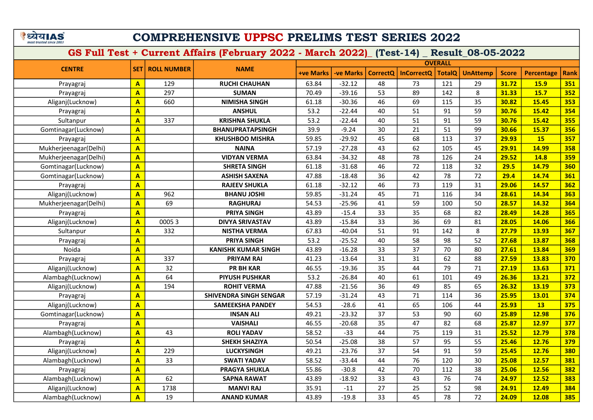# COMPREHENSIVE UPPSC PRELIMS TEST SERIES 2022

|                       |                         |                    |                               |                  |                  |                 |                   | <b>OVERALL</b> |                 |              |            |             |
|-----------------------|-------------------------|--------------------|-------------------------------|------------------|------------------|-----------------|-------------------|----------------|-----------------|--------------|------------|-------------|
| <b>CENTRE</b>         | <b>SET</b>              | <b>ROLL NUMBER</b> | <b>NAME</b>                   | <b>+ve Marks</b> | <b>-ve Marks</b> | <b>CorrectQ</b> | <b>InCorrectQ</b> | <b>TotalQ</b>  | <b>UnAttemp</b> | <b>Score</b> | Percentage | <b>Rank</b> |
| Prayagraj             | $\mathbf{A}$            | 129                | <b>RUCHI CHAUHAN</b>          | 63.84            | $-32.12$         | 48              | 73                | 121            | 29              | 31.72        | 15.9       | 351         |
| Prayagraj             | $\mathbf{A}$            | 297                | <b>SUMAN</b>                  | 70.49            | $-39.16$         | 53              | 89                | 142            | 8               | 31.33        | 15.7       | 352         |
| Aliganj(Lucknow)      | $\mathbf{A}$            | 660                | <b>NIMISHA SINGH</b>          | 61.18            | $-30.36$         | 46              | 69                | 115            | 35              | 30.82        | 15.45      | 353         |
| Prayagraj             | $\mathbf{A}$            |                    | <b>ANSHUL</b>                 | 53.2             | $-22.44$         | 40              | 51                | 91             | 59              | 30.76        | 15.42      | 354         |
| Sultanpur             | $\mathbf{A}$            | 337                | <b>KRISHNA SHUKLA</b>         | 53.2             | $-22.44$         | 40              | 51                | 91             | 59              | 30.76        | 15.42      | 355         |
| Gomtinagar(Lucknow)   | $\mathbf{A}$            |                    | <b>BHANUPRATAPSINGH</b>       | 39.9             | $-9.24$          | 30              | 21                | 51             | 99              | 30.66        | 15.37      | 356         |
| Prayagraj             | $\mathbf{A}$            |                    | <b>KHUSHBOO MISHRA</b>        | 59.85            | $-29.92$         | 45              | 68                | 113            | 37              | 29.93        | 15         | 357         |
| Mukherjeenagar(Delhi) | $\mathbf{A}$            |                    | <b>NAINA</b>                  | 57.19            | $-27.28$         | 43              | 62                | 105            | 45              | 29.91        | 14.99      | 358         |
| Mukherjeenagar(Delhi) | $\mathbf{A}$            |                    | <b>VIDYAN VERMA</b>           | 63.84            | $-34.32$         | 48              | 78                | 126            | 24              | 29.52        | 14.8       | 359         |
| Gomtinagar(Lucknow)   | $\overline{\mathbf{A}}$ |                    | <b>SHRETA SINGH</b>           | 61.18            | $-31.68$         | 46              | 72                | 118            | 32              | 29.5         | 14.79      | 360         |
| Gomtinagar(Lucknow)   | $\overline{A}$          |                    | <b>ASHISH SAXENA</b>          | 47.88            | $-18.48$         | 36              | 42                | 78             | 72              | 29.4         | 14.74      | 361         |
| Prayagraj             | $\overline{A}$          |                    | <b>RAJEEV SHUKLA</b>          | 61.18            | $-32.12$         | 46              | 73                | 119            | 31              | 29.06        | 14.57      | 362         |
| Aliganj(Lucknow)      | $\overline{\mathbf{A}}$ | 962                | <b>BHANU JOSHI</b>            | 59.85            | $-31.24$         | 45              | 71                | 116            | 34              | 28.61        | 14.34      | 363         |
| Mukherjeenagar(Delhi) | A                       | 69                 | <b>RAGHURAJ</b>               | 54.53            | $-25.96$         | 41              | 59                | 100            | 50              | 28.57        | 14.32      | 364         |
| Prayagraj             | $\overline{\mathbf{A}}$ |                    | PRIYA SINGH                   | 43.89            | $-15.4$          | 33              | 35                | 68             | 82              | 28.49        | 14.28      | 365         |
| Aliganj(Lucknow)      | A                       | 00053              | <b>DIVYA SRIVASTAV</b>        | 43.89            | $-15.84$         | 33              | 36                | 69             | 81              | 28.05        | 14.06      | 366         |
| Sultanpur             | A                       | 332                | <b>NISTHA VERMA</b>           | 67.83            | $-40.04$         | 51              | 91                | 142            | 8               | 27.79        | 13.93      | 367         |
| Prayagraj             | A                       |                    | <b>PRIYA SINGH</b>            | 53.2             | $-25.52$         | 40              | 58                | 98             | 52              | 27.68        | 13.87      | 368         |
| Noida                 | A                       |                    | <b>KANISHK KUMAR SINGH</b>    | 43.89            | $-16.28$         | 33              | 37                | 70             | 80              | 27.61        | 13.84      | 369         |
| Prayagraj             | A                       | 337                | <b>PRIYAM RAI</b>             | 41.23            | $-13.64$         | 31              | 31                | 62             | 88              | 27.59        | 13.83      | 370         |
| Aliganj(Lucknow)      | A                       | 32                 | <b>PR BH KAR</b>              | 46.55            | $-19.36$         | 35              | 44                | 79             | 71              | 27.19        | 13.63      | 371         |
| Alambagh(Lucknow)     | $\overline{\mathsf{A}}$ | 64                 | <b>PIYUSH PUSHKAR</b>         | 53.2             | $-26.84$         | 40              | 61                | 101            | 49              | 26.36        | 13.21      | 372         |
| Aliganj(Lucknow)      | A                       | 194                | <b>ROHIT VERMA</b>            | 47.88            | $-21.56$         | 36              | 49                | 85             | 65              | 26.32        | 13.19      | 373         |
| Prayagraj             | $\overline{\mathsf{A}}$ |                    | <b>SHIVENDRA SINGH SENGAR</b> | 57.19            | $-31.24$         | 43              | 71                | 114            | 36              | 25.95        | 13.01      | 374         |
| Aliganj(Lucknow)      | $\overline{\mathsf{A}}$ |                    | <b>SAMEEKSHA PANDEY</b>       | 54.53            | $-28.6$          | 41              | 65                | 106            | 44              | 25.93        | 13         | 375         |
| Gomtinagar(Lucknow)   | $\overline{\mathsf{A}}$ |                    | <b>INSAN ALI</b>              | 49.21            | $-23.32$         | 37              | 53                | 90             | 60              | 25.89        | 12.98      | 376         |
| Prayagraj             | $\mathbf{A}$            |                    | <b>VAISHALI</b>               | 46.55            | $-20.68$         | 35              | 47                | 82             | 68              | 25.87        | 12.97      | 377         |
| Alambagh(Lucknow)     | $\overline{\mathsf{A}}$ | 43                 | <b>ROLI YADAV</b>             | 58.52            | $-33$            | 44              | 75                | 119            | 31              | 25.52        | 12.79      | 378         |
| Prayagraj             | $\mathbf{A}$            |                    | <b>SHEKH SHAZIYA</b>          | 50.54            | $-25.08$         | 38              | 57                | 95             | 55              | 25.46        | 12.76      | 379         |
| Aliganj(Lucknow)      | A                       | 229                | <b>LUCKYSINGH</b>             | 49.21            | $-23.76$         | 37              | 54                | 91             | 59              | 25.45        | 12.76      | 380         |
| Alambagh(Lucknow)     | $\mathbf{A}$            | 33                 | <b>SWATI YADAV</b>            | 58.52            | $-33.44$         | 44              | 76                | 120            | 30              | 25.08        | 12.57      | 381         |
| Prayagraj             | $\overline{\mathbf{A}}$ |                    | <b>PRAGYA SHUKLA</b>          | 55.86            | $-30.8$          | 42              | 70                | 112            | 38              | 25.06        | 12.56      | 382         |
| Alambagh(Lucknow)     | $\overline{\mathbf{A}}$ | 62                 | <b>SAPNA RAWAT</b>            | 43.89            | $-18.92$         | 33              | 43                | 76             | 74              | 24.97        | 12.52      | 383         |
| Aliganj(Lucknow)      | $\mathbf{A}$            | 1738               | <b>MANVI RAJ</b>              | 35.91            | $-11$            | 27              | 25                | 52             | 98              | 24.91        | 12.49      | 384         |
| Alambagh(Lucknow)     | A                       | 19                 | <b>ANAND KUMAR</b>            | 43.89            | $-19.8$          | 33              | 45                | 78             | 72              | 24.09        | 12.08      | 385         |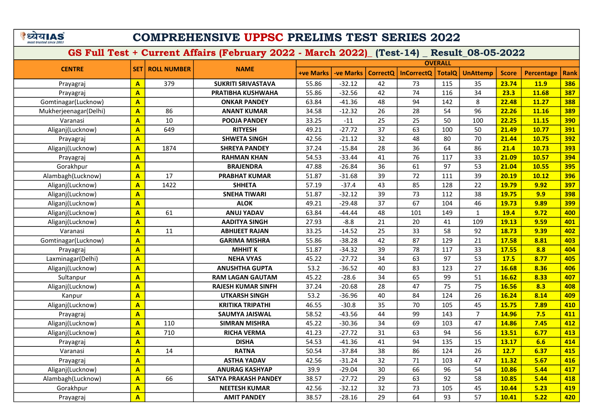# COMPREHENSIVE UPPSC PRELIMS TEST SERIES 2022

|                       |                         |                    |                             |                  |                  |                 |                   | <b>OVERALL</b> |                 |              |                   |             |
|-----------------------|-------------------------|--------------------|-----------------------------|------------------|------------------|-----------------|-------------------|----------------|-----------------|--------------|-------------------|-------------|
| <b>CENTRE</b>         | <b>SET</b>              | <b>ROLL NUMBER</b> | <b>NAME</b>                 | <b>+ve Marks</b> | <b>-ve Marks</b> | <b>CorrectQ</b> | <b>InCorrectQ</b> | <b>TotalQ</b>  | <b>UnAttemp</b> | <b>Score</b> | <b>Percentage</b> | <b>Rank</b> |
| Prayagraj             | $\mathbf{A}$            | 379                | <b>SUKRITI SRIVASTAVA</b>   | 55.86            | $-32.12$         | 42              | 73                | 115            | 35              | 23.74        | <b>11.9</b>       | 386         |
| Prayagraj             | $\overline{\mathbf{A}}$ |                    | PRATIBHA KUSHWAHA           | 55.86            | $-32.56$         | 42              | 74                | 116            | 34              | 23.3         | 11.68             | 387         |
| Gomtinagar(Lucknow)   | $\overline{A}$          |                    | <b>ONKAR PANDEY</b>         | 63.84            | $-41.36$         | 48              | 94                | 142            | 8               | 22.48        | 11.27             | 388         |
| Mukherjeenagar(Delhi) | $\overline{A}$          | 86                 | <b>ANANT KUMAR</b>          | 34.58            | $-12.32$         | 26              | 28                | 54             | 96              | 22.26        | 11.16             | 389         |
| Varanasi              | A                       | 10                 | <b>POOJA PANDEY</b>         | 33.25            | $-11$            | 25              | 25                | 50             | 100             | 22.25        | 11.15             | 390         |
| Aliganj(Lucknow)      | A                       | 649                | <b>RITYESH</b>              | 49.21            | $-27.72$         | 37              | 63                | 100            | 50              | 21.49        | 10.77             | 391         |
| Prayagraj             | $\overline{\mathbf{A}}$ |                    | <b>SHWETA SINGH</b>         | 42.56            | $-21.12$         | 32              | 48                | 80             | 70              | 21.44        | 10.75             | 392         |
| Aliganj(Lucknow)      | $\overline{A}$          | 1874               | <b>SHREYA PANDEY</b>        | 37.24            | $-15.84$         | 28              | 36                | 64             | 86              | 21.4         | 10.73             | 393         |
| Prayagraj             | $\overline{A}$          |                    | <b>RAHMAN KHAN</b>          | 54.53            | $-33.44$         | 41              | 76                | 117            | 33              | 21.09        | 10.57             | 394         |
| Gorakhpur             | $\overline{\mathbf{A}}$ |                    | <b>BRAJENDRA</b>            | 47.88            | $-26.84$         | 36              | 61                | 97             | 53              | 21.04        | 10.55             | 395         |
| Alambagh(Lucknow)     | $\overline{A}$          | 17                 | <b>PRABHAT KUMAR</b>        | 51.87            | $-31.68$         | 39              | 72                | 111            | 39              | 20.19        | 10.12             | 396         |
| Aliganj(Lucknow)      | A                       | 1422               | <b>SHHETA</b>               | 57.19            | $-37.4$          | 43              | 85                | 128            | 22              | 19.79        | 9.92              | 397         |
| Aliganj(Lucknow)      | A                       |                    | <b>SNEHA TIWARI</b>         | 51.87            | $-32.12$         | 39              | 73                | 112            | 38              | 19.75        | 9.9               | 398         |
| Aliganj(Lucknow)      | $\overline{\mathsf{A}}$ |                    | <b>ALOK</b>                 | 49.21            | $-29.48$         | 37              | 67                | 104            | 46              | 19.73        | 9.89              | 399         |
| Aliganj(Lucknow)      | A                       | 61                 | <b>ANUJ YADAV</b>           | 63.84            | $-44.44$         | 48              | 101               | 149            | $\mathbf{1}$    | 19.4         | 9.72              | 400         |
| Aliganj(Lucknow)      | $\overline{A}$          |                    | <b>AADITYA SINGH</b>        | 27.93            | $-8.8$           | 21              | 20                | 41             | 109             | 19.13        | 9.59              | 401         |
| Varanasi              | A                       | 11                 | <b>ABHIJEET RAJAN</b>       | 33.25            | $-14.52$         | 25              | 33                | 58             | 92              | 18.73        | 9.39              | 402         |
| Gomtinagar(Lucknow)   | A                       |                    | <b>GARIMA MISHRA</b>        | 55.86            | $-38.28$         | 42              | 87                | 129            | 21              | 17.58        | 8.81              | 403         |
| Prayagraj             | $\overline{A}$          |                    | <b>MHHIT K</b>              | 51.87            | $-34.32$         | 39              | 78                | 117            | 33              | 17.55        | 8.8               | 404         |
| Laxminagar(Delhi)     | A                       |                    | <b>NEHA VYAS</b>            | 45.22            | $-27.72$         | 34              | 63                | 97             | 53              | 17.5         | 8.77              | 405         |
| Aliganj(Lucknow)      | $\overline{A}$          |                    | <b>ANUSHTHA GUPTA</b>       | 53.2             | $-36.52$         | 40              | 83                | 123            | 27              | 16.68        | 8.36              | 406         |
| Sultanpur             | A                       |                    | <b>RAM LAGAN GAUTAM</b>     | 45.22            | $-28.6$          | 34              | 65                | 99             | 51              | 16.62        | 8.33              | 407         |
| Aliganj(Lucknow)      | A                       |                    | <b>RAJESH KUMAR SINFH</b>   | 37.24            | $-20.68$         | 28              | 47                | 75             | 75              | 16.56        | 8.3               | 408         |
| Kanpur                | $\overline{\mathsf{A}}$ |                    | <b>UTKARSH SINGH</b>        | 53.2             | $-36.96$         | 40              | 84                | 124            | 26              | 16.24        | 8.14              | 409         |
| Aliganj(Lucknow)      | A                       |                    | <b>KRITIKA TRIPATHI</b>     | 46.55            | $-30.8$          | 35              | 70                | 105            | 45              | 15.75        | 7.89              | 410         |
| Prayagraj             | $\overline{A}$          |                    | <b>SAUMYA JAISWAL</b>       | 58.52            | $-43.56$         | 44              | 99                | 143            | $\overline{7}$  | 14.96        | 7.5               | 411         |
| Aliganj(Lucknow)      | A                       | 110                | <b>SIMRAN MISHRA</b>        | 45.22            | $-30.36$         | 34              | 69                | 103            | 47              | 14.86        | 7.45              | 412         |
| Aliganj(Lucknow)      | A                       | 710                | <b>RICHA VERMA</b>          | 41.23            | $-27.72$         | 31              | 63                | 94             | 56              | 13.51        | 6.77              | 413         |
| Prayagraj             | $\overline{\mathsf{A}}$ |                    | <b>DISHA</b>                | 54.53            | $-41.36$         | 41              | 94                | 135            | 15              | 13.17        | 6.6               | 414         |
| Varanasi              | $\overline{\mathbf{A}}$ | 14                 | <b>RATNA</b>                | 50.54            | $-37.84$         | 38              | 86                | 124            | 26              | 12.7         | 6.37              | 415         |
| Prayagraj             | A                       |                    | <b>ASTHA YADAV</b>          | 42.56            | $-31.24$         | 32              | 71                | 103            | 47              | 11.32        | 5.67              | 416         |
| Aliganj(Lucknow)      | $\mathbf{A}$            |                    | <b>ANURAG KASHYAP</b>       | 39.9             | $-29.04$         | 30              | 66                | 96             | 54              | 10.86        | 5.44              | 417         |
| Alambagh(Lucknow)     | $\overline{\mathbf{A}}$ | 66                 | <b>SATYA PRAKASH PANDEY</b> | 38.57            | $-27.72$         | 29              | 63                | 92             | 58              | 10.85        | 5.44              | 418         |
| Gorakhpur             | $\overline{\mathsf{A}}$ |                    | <b>NEETESH KUMAR</b>        | 42.56            | $-32.12$         | 32              | 73                | 105            | 45              | 10.44        | 5.23              | 419         |
| Prayagraj             | A                       |                    | <b>AMIT PANDEY</b>          | 38.57            | $-28.16$         | 29              | 64                | 93             | 57              | 10.41        | 5.22              | 420         |